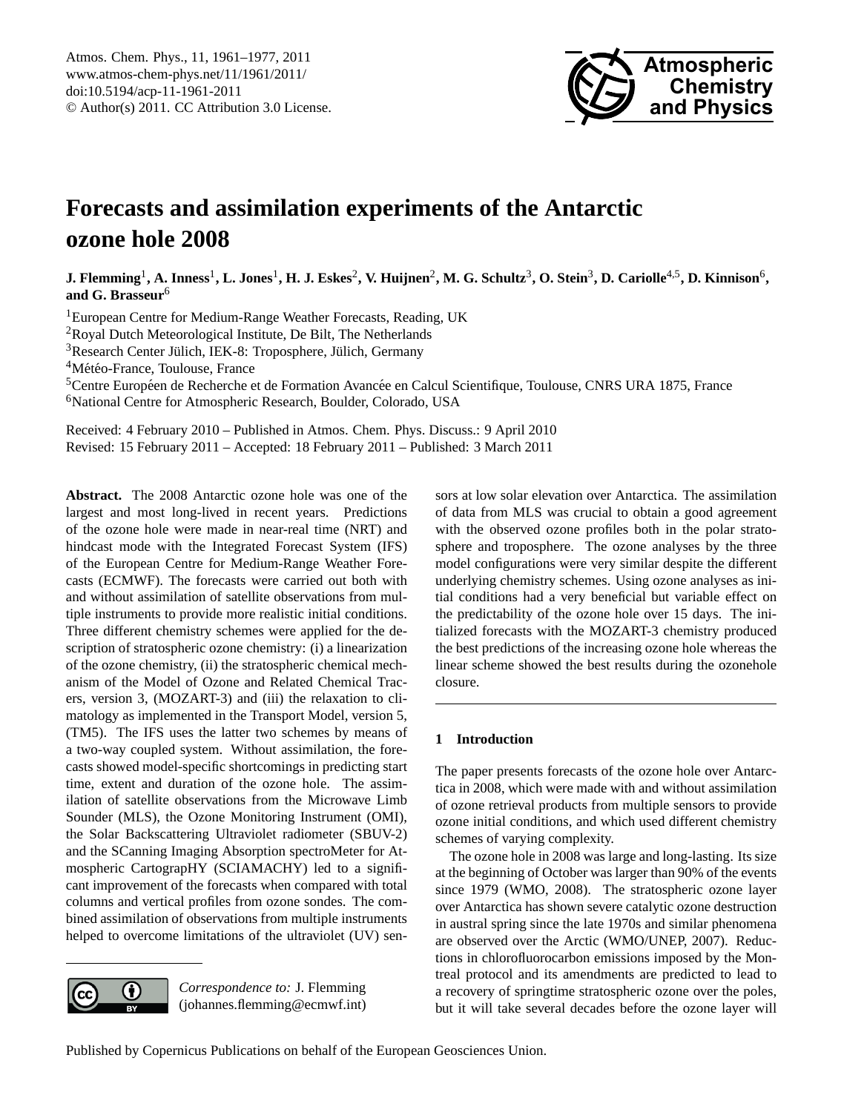

# <span id="page-0-0"></span>**Forecasts and assimilation experiments of the Antarctic ozone hole 2008**

 $\bf{J.~Flemming}^1, A.~Imess^1, L.~Jones^1, H.~J.~Esskes^2, V.~Huijnen^2, M.~G.~Schultz^3, O.~Stein^3, D.~Cariolle^{4,5}, D.~Kinnison^6,$ **and G. Brasseur**<sup>6</sup>

<sup>1</sup>European Centre for Medium-Range Weather Forecasts, Reading, UK

<sup>2</sup>Royal Dutch Meteorological Institute, De Bilt, The Netherlands

 $3$ Research Center Jülich, IEK-8: Troposphere, Jülich, Germany

<sup>4</sup>Météo-France, Toulouse, France

<sup>5</sup>Centre Européen de Recherche et de Formation Avancée en Calcul Scientifique, Toulouse, CNRS URA 1875, France <sup>6</sup>National Centre for Atmospheric Research, Boulder, Colorado, USA

Received: 4 February 2010 – Published in Atmos. Chem. Phys. Discuss.: 9 April 2010 Revised: 15 February 2011 – Accepted: 18 February 2011 – Published: 3 March 2011

**Abstract.** The 2008 Antarctic ozone hole was one of the largest and most long-lived in recent years. Predictions of the ozone hole were made in near-real time (NRT) and hindcast mode with the Integrated Forecast System (IFS) of the European Centre for Medium-Range Weather Forecasts (ECMWF). The forecasts were carried out both with and without assimilation of satellite observations from multiple instruments to provide more realistic initial conditions. Three different chemistry schemes were applied for the description of stratospheric ozone chemistry: (i) a linearization of the ozone chemistry, (ii) the stratospheric chemical mechanism of the Model of Ozone and Related Chemical Tracers, version 3, (MOZART-3) and (iii) the relaxation to climatology as implemented in the Transport Model, version 5, (TM5). The IFS uses the latter two schemes by means of a two-way coupled system. Without assimilation, the forecasts showed model-specific shortcomings in predicting start time, extent and duration of the ozone hole. The assimilation of satellite observations from the Microwave Limb Sounder (MLS), the Ozone Monitoring Instrument (OMI), the Solar Backscattering Ultraviolet radiometer (SBUV-2) and the SCanning Imaging Absorption spectroMeter for Atmospheric CartograpHY (SCIAMACHY) led to a significant improvement of the forecasts when compared with total columns and vertical profiles from ozone sondes. The combined assimilation of observations from multiple instruments helped to overcome limitations of the ultraviolet (UV) sen-



*Correspondence to:* J. Flemming (johannes.flemming@ecmwf.int) sors at low solar elevation over Antarctica. The assimilation of data from MLS was crucial to obtain a good agreement with the observed ozone profiles both in the polar stratosphere and troposphere. The ozone analyses by the three model configurations were very similar despite the different underlying chemistry schemes. Using ozone analyses as initial conditions had a very beneficial but variable effect on the predictability of the ozone hole over 15 days. The initialized forecasts with the MOZART-3 chemistry produced the best predictions of the increasing ozone hole whereas the linear scheme showed the best results during the ozonehole closure.

# **1 Introduction**

The paper presents forecasts of the ozone hole over Antarctica in 2008, which were made with and without assimilation of ozone retrieval products from multiple sensors to provide ozone initial conditions, and which used different chemistry schemes of varying complexity.

The ozone hole in 2008 was large and long-lasting. Its size at the beginning of October was larger than 90% of the events since 1979 (WMO, 2008). The stratospheric ozone layer over Antarctica has shown severe catalytic ozone destruction in austral spring since the late 1970s and similar phenomena are observed over the Arctic (WMO/UNEP, 2007). Reductions in chlorofluorocarbon emissions imposed by the Montreal protocol and its amendments are predicted to lead to a recovery of springtime stratospheric ozone over the poles, but it will take several decades before the ozone layer will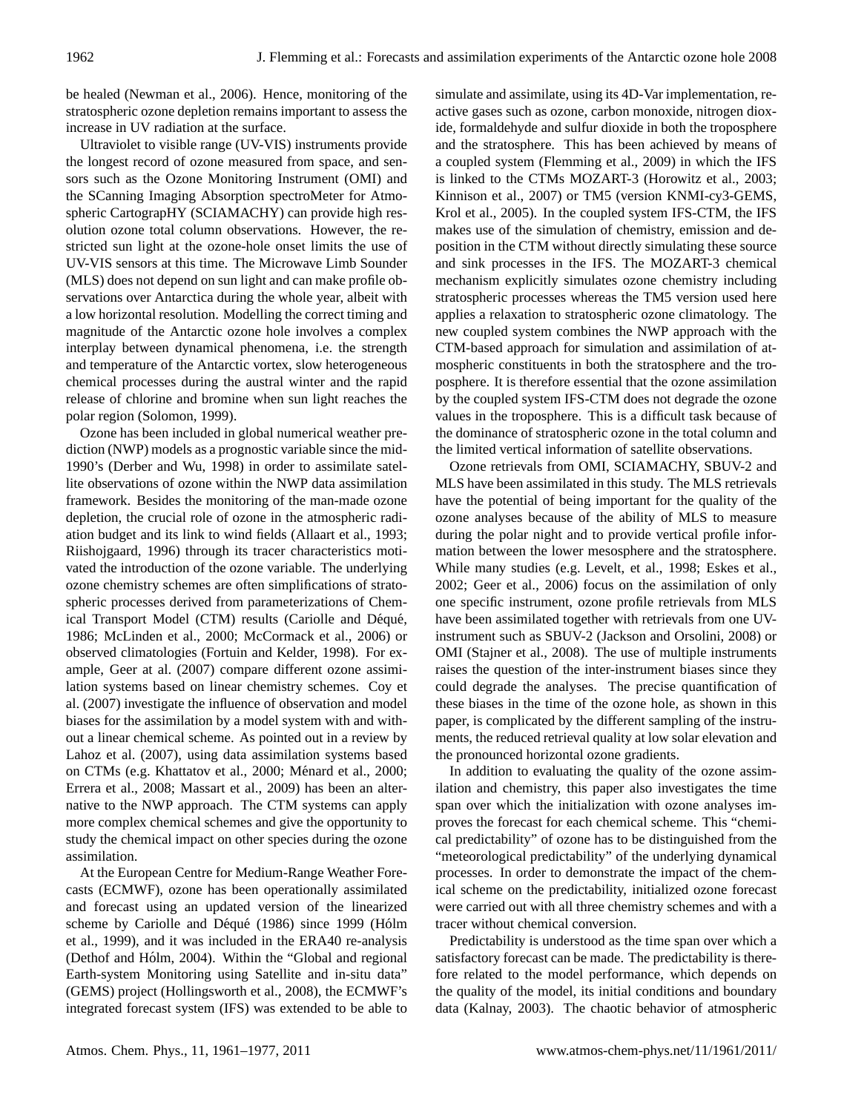be healed (Newman et al., 2006). Hence, monitoring of the stratospheric ozone depletion remains important to assess the increase in UV radiation at the surface.

Ultraviolet to visible range (UV-VIS) instruments provide the longest record of ozone measured from space, and sensors such as the Ozone Monitoring Instrument (OMI) and the SCanning Imaging Absorption spectroMeter for Atmospheric CartograpHY (SCIAMACHY) can provide high resolution ozone total column observations. However, the restricted sun light at the ozone-hole onset limits the use of UV-VIS sensors at this time. The Microwave Limb Sounder (MLS) does not depend on sun light and can make profile observations over Antarctica during the whole year, albeit with a low horizontal resolution. Modelling the correct timing and magnitude of the Antarctic ozone hole involves a complex interplay between dynamical phenomena, i.e. the strength and temperature of the Antarctic vortex, slow heterogeneous chemical processes during the austral winter and the rapid release of chlorine and bromine when sun light reaches the polar region (Solomon, 1999).

Ozone has been included in global numerical weather prediction (NWP) models as a prognostic variable since the mid-1990's (Derber and Wu, 1998) in order to assimilate satellite observations of ozone within the NWP data assimilation framework. Besides the monitoring of the man-made ozone depletion, the crucial role of ozone in the atmospheric radiation budget and its link to wind fields (Allaart et al., 1993; Riishojgaard, 1996) through its tracer characteristics motivated the introduction of the ozone variable. The underlying ozone chemistry schemes are often simplifications of stratospheric processes derived from parameterizations of Chemical Transport Model (CTM) results (Cariolle and Déqué, 1986; McLinden et al., 2000; McCormack et al., 2006) or observed climatologies (Fortuin and Kelder, 1998). For example, Geer at al. (2007) compare different ozone assimilation systems based on linear chemistry schemes. Coy et al. (2007) investigate the influence of observation and model biases for the assimilation by a model system with and without a linear chemical scheme. As pointed out in a review by Lahoz et al. (2007), using data assimilation systems based on CTMs (e.g. Khattatov et al., 2000; Ménard et al., 2000; Errera et al., 2008; Massart et al., 2009) has been an alternative to the NWP approach. The CTM systems can apply more complex chemical schemes and give the opportunity to study the chemical impact on other species during the ozone assimilation.

At the European Centre for Medium-Range Weather Forecasts (ECMWF), ozone has been operationally assimilated and forecast using an updated version of the linearized scheme by Cariolle and Déqué (1986) since 1999 (Hólm et al., 1999), and it was included in the ERA40 re-analysis (Dethof and Hólm, 2004). Within the "Global and regional Earth-system Monitoring using Satellite and in-situ data" (GEMS) project (Hollingsworth et al., 2008), the ECMWF's integrated forecast system (IFS) was extended to be able to simulate and assimilate, using its 4D-Var implementation, reactive gases such as ozone, carbon monoxide, nitrogen dioxide, formaldehyde and sulfur dioxide in both the troposphere and the stratosphere. This has been achieved by means of a coupled system (Flemming et al., 2009) in which the IFS is linked to the CTMs MOZART-3 (Horowitz et al., 2003; Kinnison et al., 2007) or TM5 (version KNMI-cy3-GEMS, Krol et al., 2005). In the coupled system IFS-CTM, the IFS makes use of the simulation of chemistry, emission and deposition in the CTM without directly simulating these source and sink processes in the IFS. The MOZART-3 chemical mechanism explicitly simulates ozone chemistry including stratospheric processes whereas the TM5 version used here applies a relaxation to stratospheric ozone climatology. The new coupled system combines the NWP approach with the CTM-based approach for simulation and assimilation of atmospheric constituents in both the stratosphere and the troposphere. It is therefore essential that the ozone assimilation by the coupled system IFS-CTM does not degrade the ozone values in the troposphere. This is a difficult task because of the dominance of stratospheric ozone in the total column and the limited vertical information of satellite observations.

Ozone retrievals from OMI, SCIAMACHY, SBUV-2 and MLS have been assimilated in this study. The MLS retrievals have the potential of being important for the quality of the ozone analyses because of the ability of MLS to measure during the polar night and to provide vertical profile information between the lower mesosphere and the stratosphere. While many studies (e.g. Levelt, et al., 1998; Eskes et al., 2002; Geer et al., 2006) focus on the assimilation of only one specific instrument, ozone profile retrievals from MLS have been assimilated together with retrievals from one UVinstrument such as SBUV-2 (Jackson and Orsolini, 2008) or OMI (Stajner et al., 2008). The use of multiple instruments raises the question of the inter-instrument biases since they could degrade the analyses. The precise quantification of these biases in the time of the ozone hole, as shown in this paper, is complicated by the different sampling of the instruments, the reduced retrieval quality at low solar elevation and the pronounced horizontal ozone gradients.

In addition to evaluating the quality of the ozone assimilation and chemistry, this paper also investigates the time span over which the initialization with ozone analyses improves the forecast for each chemical scheme. This "chemical predictability" of ozone has to be distinguished from the "meteorological predictability" of the underlying dynamical processes. In order to demonstrate the impact of the chemical scheme on the predictability, initialized ozone forecast were carried out with all three chemistry schemes and with a tracer without chemical conversion.

Predictability is understood as the time span over which a satisfactory forecast can be made. The predictability is therefore related to the model performance, which depends on the quality of the model, its initial conditions and boundary data (Kalnay, 2003). The chaotic behavior of atmospheric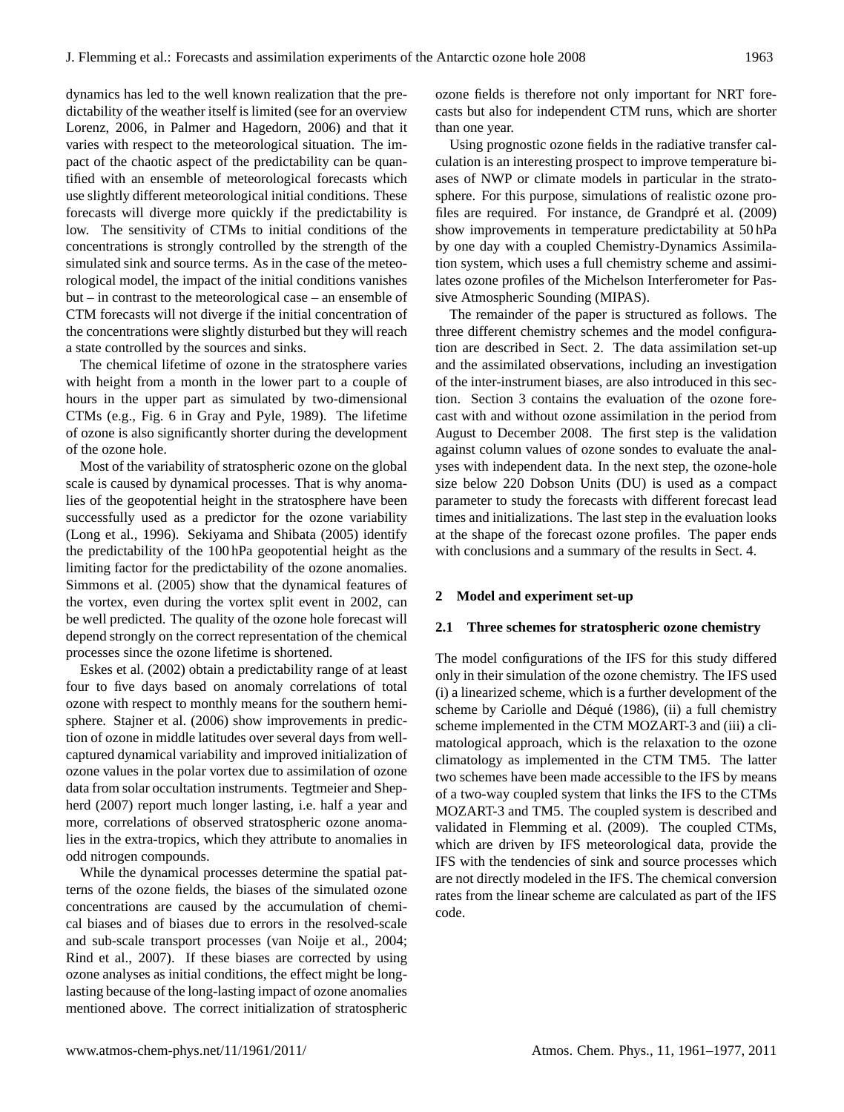dynamics has led to the well known realization that the predictability of the weather itself is limited (see for an overview Lorenz, 2006, in Palmer and Hagedorn, 2006) and that it varies with respect to the meteorological situation. The impact of the chaotic aspect of the predictability can be quantified with an ensemble of meteorological forecasts which use slightly different meteorological initial conditions. These forecasts will diverge more quickly if the predictability is low. The sensitivity of CTMs to initial conditions of the concentrations is strongly controlled by the strength of the simulated sink and source terms. As in the case of the meteorological model, the impact of the initial conditions vanishes but – in contrast to the meteorological case – an ensemble of CTM forecasts will not diverge if the initial concentration of the concentrations were slightly disturbed but they will reach a state controlled by the sources and sinks.

The chemical lifetime of ozone in the stratosphere varies with height from a month in the lower part to a couple of hours in the upper part as simulated by two-dimensional CTMs (e.g., Fig. 6 in Gray and Pyle, 1989). The lifetime of ozone is also significantly shorter during the development of the ozone hole.

Most of the variability of stratospheric ozone on the global scale is caused by dynamical processes. That is why anomalies of the geopotential height in the stratosphere have been successfully used as a predictor for the ozone variability (Long et al., 1996). Sekiyama and Shibata (2005) identify the predictability of the 100 hPa geopotential height as the limiting factor for the predictability of the ozone anomalies. Simmons et al. (2005) show that the dynamical features of the vortex, even during the vortex split event in 2002, can be well predicted. The quality of the ozone hole forecast will depend strongly on the correct representation of the chemical processes since the ozone lifetime is shortened.

Eskes et al. (2002) obtain a predictability range of at least four to five days based on anomaly correlations of total ozone with respect to monthly means for the southern hemisphere. Stajner et al. (2006) show improvements in prediction of ozone in middle latitudes over several days from wellcaptured dynamical variability and improved initialization of ozone values in the polar vortex due to assimilation of ozone data from solar occultation instruments. Tegtmeier and Shepherd (2007) report much longer lasting, i.e. half a year and more, correlations of observed stratospheric ozone anomalies in the extra-tropics, which they attribute to anomalies in odd nitrogen compounds.

While the dynamical processes determine the spatial patterns of the ozone fields, the biases of the simulated ozone concentrations are caused by the accumulation of chemical biases and of biases due to errors in the resolved-scale and sub-scale transport processes (van Noije et al., 2004; Rind et al., 2007). If these biases are corrected by using ozone analyses as initial conditions, the effect might be longlasting because of the long-lasting impact of ozone anomalies mentioned above. The correct initialization of stratospheric ozone fields is therefore not only important for NRT forecasts but also for independent CTM runs, which are shorter than one year.

Using prognostic ozone fields in the radiative transfer calculation is an interesting prospect to improve temperature biases of NWP or climate models in particular in the stratosphere. For this purpose, simulations of realistic ozone profiles are required. For instance, de Grandpré et al. (2009) show improvements in temperature predictability at 50 hPa by one day with a coupled Chemistry-Dynamics Assimilation system, which uses a full chemistry scheme and assimilates ozone profiles of the Michelson Interferometer for Passive Atmospheric Sounding (MIPAS).

The remainder of the paper is structured as follows. The three different chemistry schemes and the model configuration are described in Sect. 2. The data assimilation set-up and the assimilated observations, including an investigation of the inter-instrument biases, are also introduced in this section. Section 3 contains the evaluation of the ozone forecast with and without ozone assimilation in the period from August to December 2008. The first step is the validation against column values of ozone sondes to evaluate the analyses with independent data. In the next step, the ozone-hole size below 220 Dobson Units (DU) is used as a compact parameter to study the forecasts with different forecast lead times and initializations. The last step in the evaluation looks at the shape of the forecast ozone profiles. The paper ends with conclusions and a summary of the results in Sect. 4.

#### **2 Model and experiment set-up**

#### **2.1 Three schemes for stratospheric ozone chemistry**

The model configurations of the IFS for this study differed only in their simulation of the ozone chemistry. The IFS used (i) a linearized scheme, which is a further development of the scheme by Cariolle and Déqué (1986), (ii) a full chemistry scheme implemented in the CTM MOZART-3 and (iii) a climatological approach, which is the relaxation to the ozone climatology as implemented in the CTM TM5. The latter two schemes have been made accessible to the IFS by means of a two-way coupled system that links the IFS to the CTMs MOZART-3 and TM5. The coupled system is described and validated in Flemming et al. (2009). The coupled CTMs, which are driven by IFS meteorological data, provide the IFS with the tendencies of sink and source processes which are not directly modeled in the IFS. The chemical conversion rates from the linear scheme are calculated as part of the IFS code.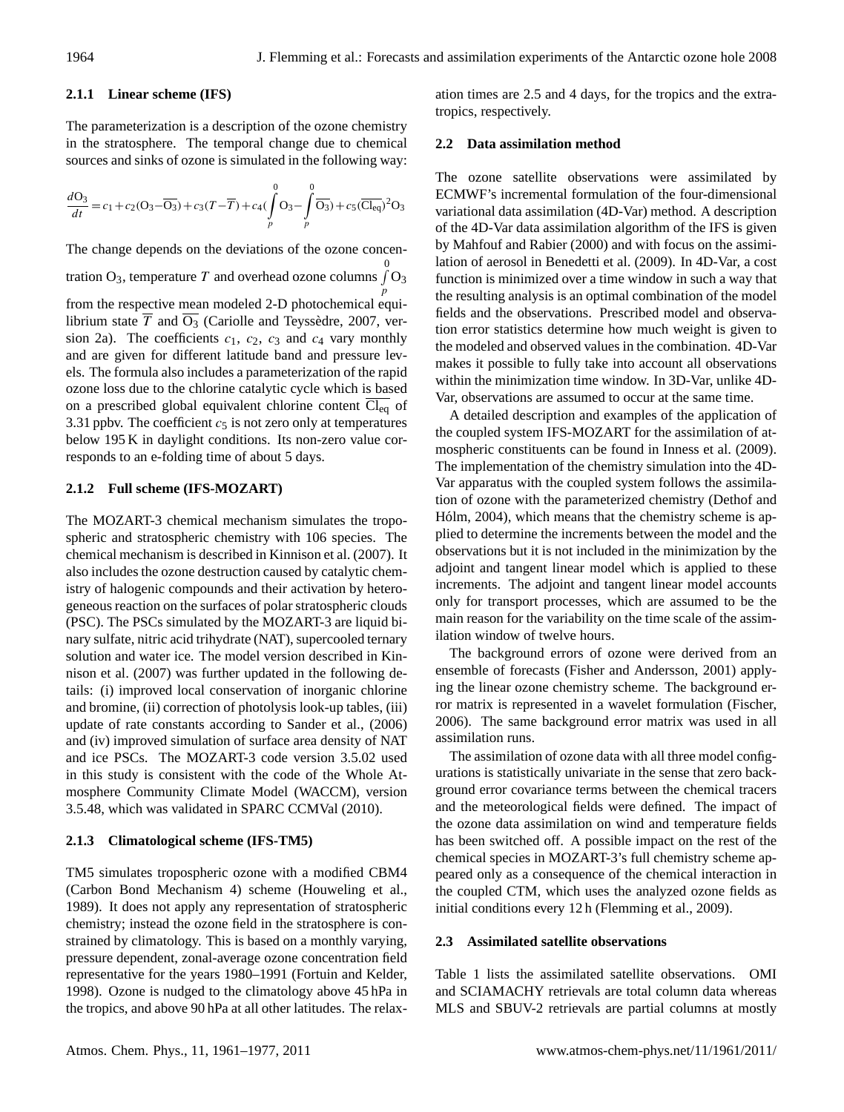## **2.1.1 Linear scheme (IFS)**

The parameterization is a description of the ozone chemistry in the stratosphere. The temporal change due to chemical sources and sinks of ozone is simulated in the following way:

$$
\frac{d\Theta_3}{dt} = c_1 + c_2(\Theta_3 - \overline{\Theta_3}) + c_3(T - \overline{T}) + c_4(\int_p^0 \Theta_3 - \int_p^0 \overline{\Theta_3}) + c_5(\overline{\text{Cl}_{eq}})^2\Theta_3
$$

The change depends on the deviations of the ozone concen-

tration O<sub>3</sub>, temperature T and overhead ozone columns  $\int_0^0$ p  $O<sub>3</sub>$ from the respective mean modeled 2-D photochemical equi-

librium state  $\overline{T}$  and  $\overline{O_3}$  (Cariolle and Teyssedre, 2007, version 2a). The coefficients  $c_1$ ,  $c_2$ ,  $c_3$  and  $c_4$  vary monthly and are given for different latitude band and pressure levels. The formula also includes a parameterization of the rapid ozone loss due to the chlorine catalytic cycle which is based on a prescribed global equivalent chlorine content  $\overline{Cl_{eq}}$  of 3.31 ppbv. The coefficient  $c_5$  is not zero only at temperatures below 195 K in daylight conditions. Its non-zero value corresponds to an e-folding time of about 5 days.

# **2.1.2 Full scheme (IFS-MOZART)**

The MOZART-3 chemical mechanism simulates the tropospheric and stratospheric chemistry with 106 species. The chemical mechanism is described in Kinnison et al. (2007). It also includes the ozone destruction caused by catalytic chemistry of halogenic compounds and their activation by heterogeneous reaction on the surfaces of polar stratospheric clouds (PSC). The PSCs simulated by the MOZART-3 are liquid binary sulfate, nitric acid trihydrate (NAT), supercooled ternary solution and water ice. The model version described in Kinnison et al. (2007) was further updated in the following details: (i) improved local conservation of inorganic chlorine and bromine, (ii) correction of photolysis look-up tables, (iii) update of rate constants according to Sander et al., (2006) and (iv) improved simulation of surface area density of NAT and ice PSCs. The MOZART-3 code version 3.5.02 used in this study is consistent with the code of the Whole Atmosphere Community Climate Model (WACCM), version 3.5.48, which was validated in SPARC CCMVal (2010).

# **2.1.3 Climatological scheme (IFS-TM5)**

TM5 simulates tropospheric ozone with a modified CBM4 (Carbon Bond Mechanism 4) scheme (Houweling et al., 1989). It does not apply any representation of stratospheric chemistry; instead the ozone field in the stratosphere is constrained by climatology. This is based on a monthly varying, pressure dependent, zonal-average ozone concentration field representative for the years 1980–1991 (Fortuin and Kelder, 1998). Ozone is nudged to the climatology above 45 hPa in the tropics, and above 90 hPa at all other latitudes. The relaxation times are 2.5 and 4 days, for the tropics and the extratropics, respectively.

### **2.2 Data assimilation method**

The ozone satellite observations were assimilated by ECMWF's incremental formulation of the four-dimensional variational data assimilation (4D-Var) method. A description of the 4D-Var data assimilation algorithm of the IFS is given by Mahfouf and Rabier (2000) and with focus on the assimilation of aerosol in Benedetti et al. (2009). In 4D-Var, a cost function is minimized over a time window in such a way that the resulting analysis is an optimal combination of the model fields and the observations. Prescribed model and observation error statistics determine how much weight is given to the modeled and observed values in the combination. 4D-Var makes it possible to fully take into account all observations within the minimization time window. In 3D-Var, unlike 4D-Var, observations are assumed to occur at the same time.

A detailed description and examples of the application of the coupled system IFS-MOZART for the assimilation of atmospheric constituents can be found in Inness et al. (2009). The implementation of the chemistry simulation into the 4D-Var apparatus with the coupled system follows the assimilation of ozone with the parameterized chemistry (Dethof and Hólm, 2004), which means that the chemistry scheme is applied to determine the increments between the model and the observations but it is not included in the minimization by the adjoint and tangent linear model which is applied to these increments. The adjoint and tangent linear model accounts only for transport processes, which are assumed to be the main reason for the variability on the time scale of the assimilation window of twelve hours.

The background errors of ozone were derived from an ensemble of forecasts (Fisher and Andersson, 2001) applying the linear ozone chemistry scheme. The background error matrix is represented in a wavelet formulation (Fischer, 2006). The same background error matrix was used in all assimilation runs.

The assimilation of ozone data with all three model configurations is statistically univariate in the sense that zero background error covariance terms between the chemical tracers and the meteorological fields were defined. The impact of the ozone data assimilation on wind and temperature fields has been switched off. A possible impact on the rest of the chemical species in MOZART-3's full chemistry scheme appeared only as a consequence of the chemical interaction in the coupled CTM, which uses the analyzed ozone fields as initial conditions every 12 h (Flemming et al., 2009).

# **2.3 Assimilated satellite observations**

Table 1 lists the assimilated satellite observations. OMI and SCIAMACHY retrievals are total column data whereas MLS and SBUV-2 retrievals are partial columns at mostly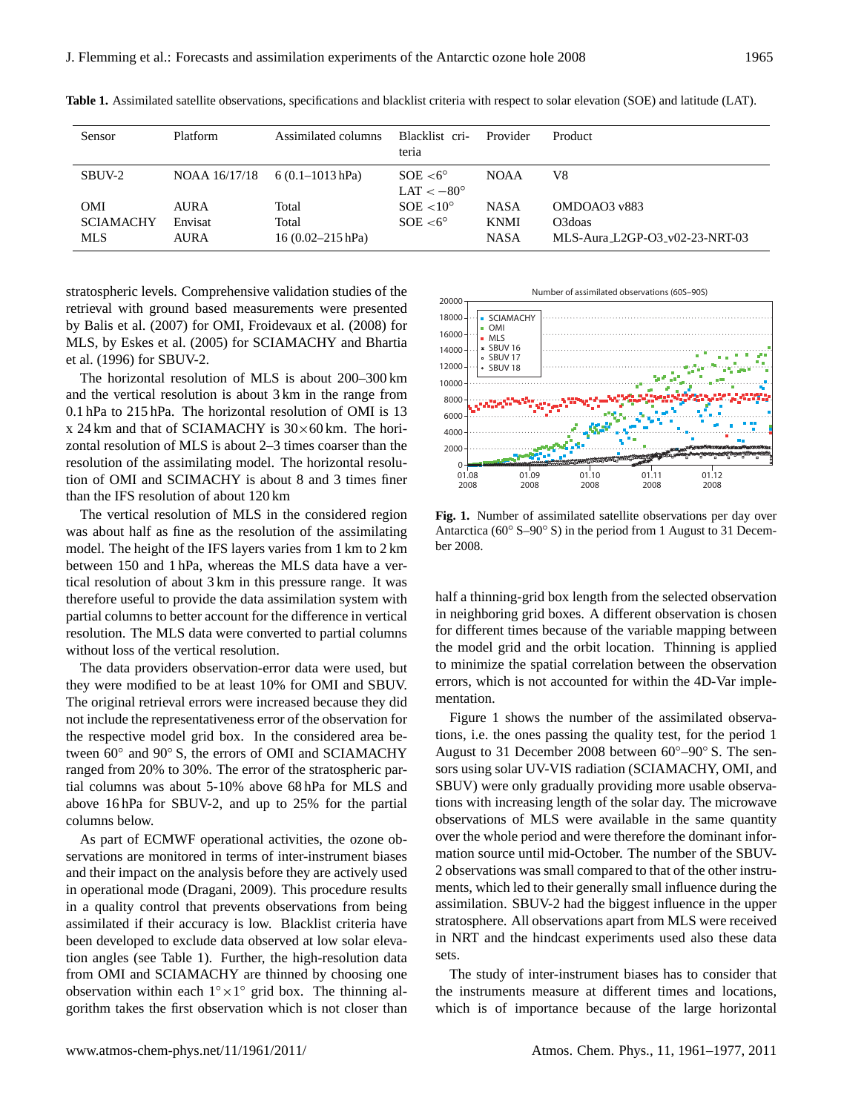| Sensor           | Platform      | Assimilated columns  | Blacklist cri-<br>teria                  | Provider    | Product                        |
|------------------|---------------|----------------------|------------------------------------------|-------------|--------------------------------|
| SBUV-2           | NOAA 16/17/18 | $6(0.1 - 1013 hPa)$  | $SOE < 6^{\circ}$<br>$LAT < -80^{\circ}$ | <b>NOAA</b> | V8                             |
| <b>OMI</b>       | <b>AURA</b>   | Total                | $SOE < 10^{\circ}$                       | <b>NASA</b> | OMDOAO3 v883                   |
| <b>SCIAMACHY</b> | Envisat       | Total                | $SOE < 6^{\circ}$                        | <b>KNMI</b> | O <sub>3</sub> doas            |
| MLS              | <b>AURA</b>   | $16(0.02 - 215 hPa)$ |                                          | <b>NASA</b> | MLS-Aura L2GP-O3_v02-23-NRT-03 |

**Table 1.** Assimilated satellite observations, specifications and blacklist criteria with respect to solar elevation (SOE) and latitude (LAT).

stratospheric levels. Comprehensive validation studies of the retrieval with ground based measurements were presented by Balis et al. (2007) for OMI, Froidevaux et al. (2008) for MLS, by Eskes et al. (2005) for SCIAMACHY and Bhartia et al. (1996) for SBUV-2.

The horizontal resolution of MLS is about 200–300 km and the vertical resolution is about 3 km in the range from 0.1 hPa to 215 hPa. The horizontal resolution of OMI is 13 x 24 km and that of SCIAMACHY is  $30\times60$  km. The horizontal resolution of MLS is about 2–3 times coarser than the resolution of the assimilating model. The horizontal resolution of OMI and SCIMACHY is about 8 and 3 times finer than the IFS resolution of about 120 km

The vertical resolution of MLS in the considered region was about half as fine as the resolution of the assimilating model. The height of the IFS layers varies from 1 km to 2 km between 150 and 1 hPa, whereas the MLS data have a vertical resolution of about 3 km in this pressure range. It was therefore useful to provide the data assimilation system with partial columns to better account for the difference in vertical resolution. The MLS data were converted to partial columns without loss of the vertical resolution.

The data providers observation-error data were used, but they were modified to be at least 10% for OMI and SBUV. The original retrieval errors were increased because they did not include the representativeness error of the observation for the respective model grid box. In the considered area between  $60^\circ$  and  $90^\circ$  S, the errors of OMI and SCIAMACHY ranged from 20% to 30%. The error of the stratospheric partial columns was about 5-10% above 68 hPa for MLS and above 16 hPa for SBUV-2, and up to 25% for the partial columns below.

As part of ECMWF operational activities, the ozone observations are monitored in terms of inter-instrument biases and their impact on the analysis before they are actively used in operational mode (Dragani, 2009). This procedure results in a quality control that prevents observations from being assimilated if their accuracy is low. Blacklist criteria have been developed to exclude data observed at low solar elevation angles (see Table 1). Further, the high-resolution data from OMI and SCIAMACHY are thinned by choosing one observation within each  $1^\circ \times 1^\circ$  grid box. The thinning algorithm takes the first observation which is not closer than



**Fig. 1.** Number of assimilated satellite observations per day over Antarctica (60◦ S–90◦ S) in the period from 1 August to 31 December 2008.

half a thinning-grid box length from the selected observation in neighboring grid boxes. A different observation is chosen for different times because of the variable mapping between the model grid and the orbit location. Thinning is applied to minimize the spatial correlation between the observation errors, which is not accounted for within the 4D-Var implementation.

Figure 1 shows the number of the assimilated observations, i.e. the ones passing the quality test, for the period 1 August to 31 December 2008 between 60◦–90◦ S. The sensors using solar UV-VIS radiation (SCIAMACHY, OMI, and SBUV) were only gradually providing more usable observations with increasing length of the solar day. The microwave observations of MLS were available in the same quantity over the whole period and were therefore the dominant information source until mid-October. The number of the SBUV-2 observations was small compared to that of the other instruments, which led to their generally small influence during the assimilation. SBUV-2 had the biggest influence in the upper stratosphere. All observations apart from MLS were received in NRT and the hindcast experiments used also these data sets.

The study of inter-instrument biases has to consider that the instruments measure at different times and locations, which is of importance because of the large horizontal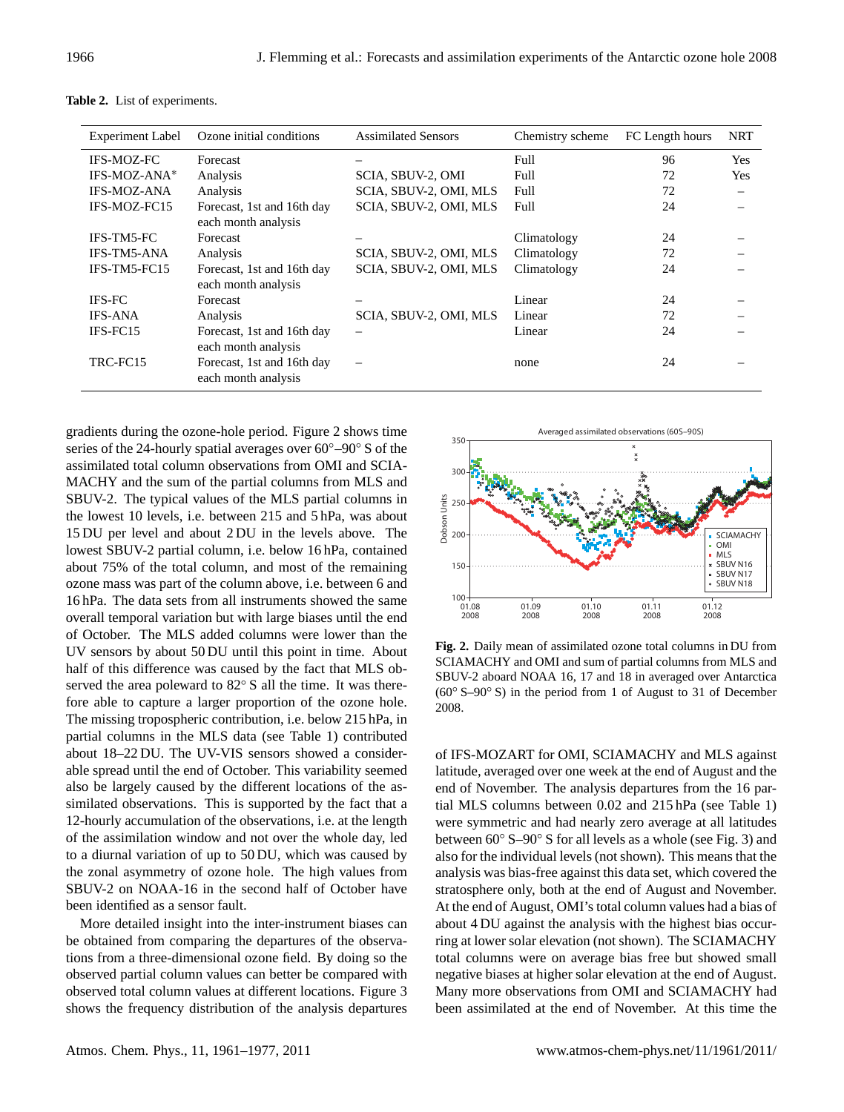| <b>Experiment Label</b> | Ozone initial conditions                          | <b>Assimilated Sensors</b> | Chemistry scheme | FC Length hours | <b>NRT</b>                     |
|-------------------------|---------------------------------------------------|----------------------------|------------------|-----------------|--------------------------------|
| <b>IFS-MOZ-FC</b>       | Forecast                                          |                            | Full             | 96              | Yes                            |
| IFS-MOZ-ANA*            | Analysis                                          | SCIA, SBUV-2, OMI          | Full             | 72              | Yes                            |
| <b>IFS-MOZ-ANA</b>      | Analysis                                          | SCIA, SBUV-2, OMI, MLS     | Full             | 72              | $\qquad \qquad \longleftarrow$ |
| IFS-MOZ-FC15            | Forecast, 1st and 16th day<br>each month analysis | SCIA, SBUV-2, OMI, MLS     | Full             | 24              |                                |
| <b>IFS-TM5-FC</b>       | Forecast                                          |                            | Climatology      | 24              |                                |
| <b>IFS-TM5-ANA</b>      | Analysis                                          | SCIA, SBUV-2, OMI, MLS     | Climatology      | 72              |                                |
| IFS-TM5-FC15            | Forecast, 1st and 16th day<br>each month analysis | SCIA, SBUV-2, OMI, MLS     | Climatology      | 24              |                                |
| <b>IFS-FC</b>           | Forecast                                          |                            | Linear           | 24              |                                |
| <b>IFS-ANA</b>          | Analysis                                          | SCIA, SBUV-2, OMI, MLS     | Linear           | 72              |                                |
| IFS-FC15                | Forecast, 1st and 16th day<br>each month analysis |                            | Linear           | 24              |                                |
| TRC-FC15                | Forecast, 1st and 16th day<br>each month analysis |                            | none             | 24              |                                |

**Table 2.** List of experiments.

gradients during the ozone-hole period. Figure 2 shows time series of the 24-hourly spatial averages over 60◦–90◦ S of the assimilated total column observations from OMI and SCIA-MACHY and the sum of the partial columns from MLS and SBUV-2. The typical values of the MLS partial columns in the lowest 10 levels, i.e. between 215 and 5 hPa, was about 15 DU per level and about 2 DU in the levels above. The lowest SBUV-2 partial column, i.e. below 16 hPa, contained about 75% of the total column, and most of the remaining ozone mass was part of the column above, i.e. between 6 and 16 hPa. The data sets from all instruments showed the same overall temporal variation but with large biases until the end of October. The MLS added columns were lower than the UV sensors by about 50 DU until this point in time. About half of this difference was caused by the fact that MLS observed the area poleward to 82<sup>°</sup> S all the time. It was therefore able to capture a larger proportion of the ozone hole. The missing tropospheric contribution, i.e. below 215 hPa, in partial columns in the MLS data (see Table 1) contributed about 18–22 DU. The UV-VIS sensors showed a considerable spread until the end of October. This variability seemed also be largely caused by the different locations of the assimilated observations. This is supported by the fact that a 12-hourly accumulation of the observations, i.e. at the length of the assimilation window and not over the whole day, led to a diurnal variation of up to 50 DU, which was caused by the zonal asymmetry of ozone hole. The high values from SBUV-2 on NOAA-16 in the second half of October have been identified as a sensor fault.

More detailed insight into the inter-instrument biases can be obtained from comparing the departures of the observations from a three-dimensional ozone field. By doing so the observed partial column values can better be compared with observed total column values at different locations. Figure 3 shows the frequency distribution of the analysis departures



**Fig. 2.** Daily mean of assimilated ozone total columns in DU from SCIAMACHY and OMI and sum of partial columns from MLS and SBUV-2 aboard NOAA 16, 17 and 18 in averaged over Antarctica (60◦ S–90◦ S) in the period from 1 of August to 31 of December 2008.

of IFS-MOZART for OMI, SCIAMACHY and MLS against latitude, averaged over one week at the end of August and the end of November. The analysis departures from the 16 partial MLS columns between 0.02 and 215 hPa (see Table 1) were symmetric and had nearly zero average at all latitudes between 60◦ S–90◦ S for all levels as a whole (see Fig. 3) and also for the individual levels (not shown). This means that the analysis was bias-free against this data set, which covered the stratosphere only, both at the end of August and November. At the end of August, OMI's total column values had a bias of about 4 DU against the analysis with the highest bias occurring at lower solar elevation (not shown). The SCIAMACHY total columns were on average bias free but showed small negative biases at higher solar elevation at the end of August. Many more observations from OMI and SCIAMACHY had been assimilated at the end of November. At this time the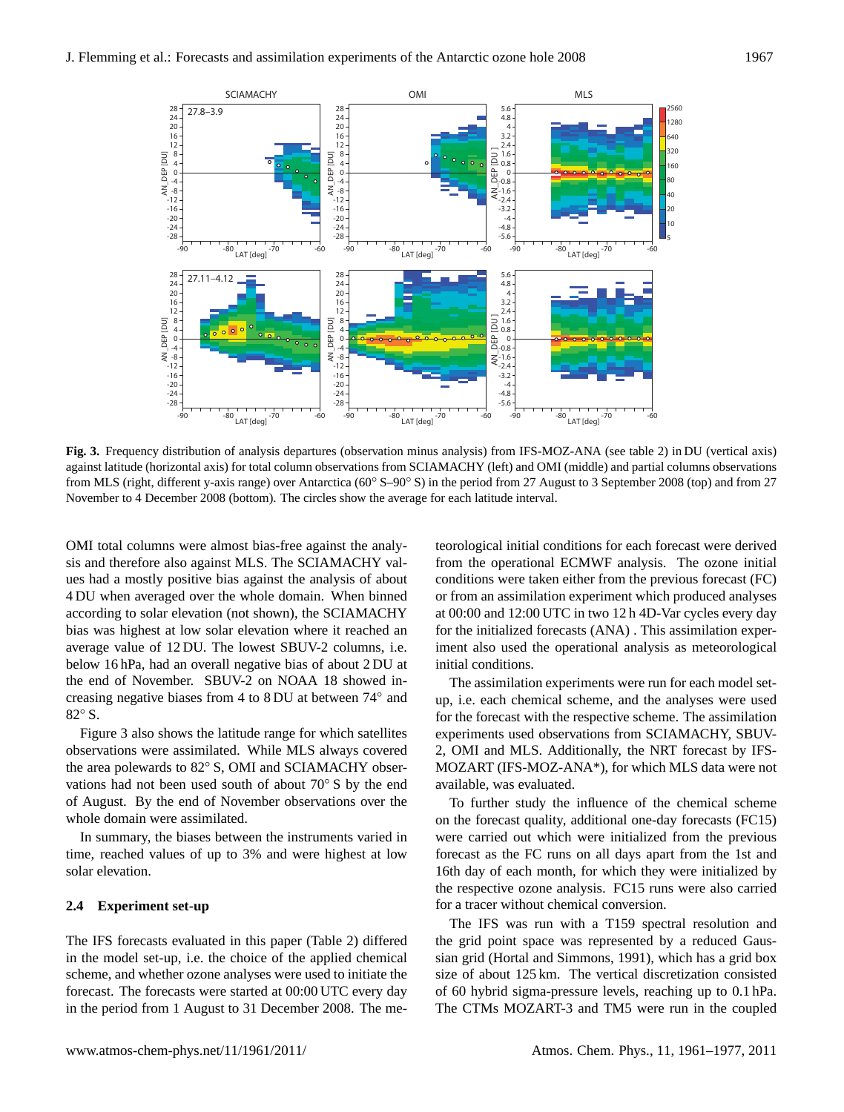

**Fig. 3.** Frequency distribution of analysis departures (observation minus analysis) from IFS-MOZ-ANA (see table 2) in DU (vertical axis) against latitude (horizontal axis) for total column observations from SCIAMACHY (left) and OMI (middle) and partial columns observations from MLS (right, different y-axis range) over Antarctica (60° S–90° S) in the period from 27 August to 3 September 2008 (top) and from 27 November to 4 December 2008 (bottom). The circles show the average for each latitude interval.

OMI total columns were almost bias-free against the analysis and therefore also against MLS. The SCIAMACHY values had a mostly positive bias against the analysis of about 4 DU when averaged over the whole domain. When binned according to solar elevation (not shown), the SCIAMACHY bias was highest at low solar elevation where it reached an average value of 12 DU. The lowest SBUV-2 columns, i.e. below 16 hPa, had an overall negative bias of about 2 DU at the end of November. SBUV-2 on NOAA 18 showed increasing negative biases from 4 to 8 DU at between 74◦ and 82◦ S.

Figure 3 also shows the latitude range for which satellites observations were assimilated. While MLS always covered the area polewards to 82◦ S, OMI and SCIAMACHY observations had not been used south of about 70◦ S by the end of August. By the end of November observations over the whole domain were assimilated.

In summary, the biases between the instruments varied in time, reached values of up to 3% and were highest at low solar elevation.

# **2.4 Experiment set-up**

The IFS forecasts evaluated in this paper (Table 2) differed in the model set-up, i.e. the choice of the applied chemical scheme, and whether ozone analyses were used to initiate the forecast. The forecasts were started at 00:00 UTC every day in the period from 1 August to 31 December 2008. The meteorological initial conditions for each forecast were derived from the operational ECMWF analysis. The ozone initial conditions were taken either from the previous forecast (FC) or from an assimilation experiment which produced analyses at 00:00 and 12:00 UTC in two 12 h 4D-Var cycles every day for the initialized forecasts (ANA) . This assimilation experiment also used the operational analysis as meteorological initial conditions.

The assimilation experiments were run for each model setup, i.e. each chemical scheme, and the analyses were used for the forecast with the respective scheme. The assimilation experiments used observations from SCIAMACHY, SBUV-2, OMI and MLS. Additionally, the NRT forecast by IFS-MOZART (IFS-MOZ-ANA\*), for which MLS data were not available, was evaluated.

To further study the influence of the chemical scheme on the forecast quality, additional one-day forecasts (FC15) were carried out which were initialized from the previous forecast as the FC runs on all days apart from the 1st and 16th day of each month, for which they were initialized by the respective ozone analysis. FC15 runs were also carried for a tracer without chemical conversion.

The IFS was run with a T159 spectral resolution and the grid point space was represented by a reduced Gaussian grid (Hortal and Simmons, 1991), which has a grid box size of about 125 km. The vertical discretization consisted of 60 hybrid sigma-pressure levels, reaching up to 0.1 hPa. The CTMs MOZART-3 and TM5 were run in the coupled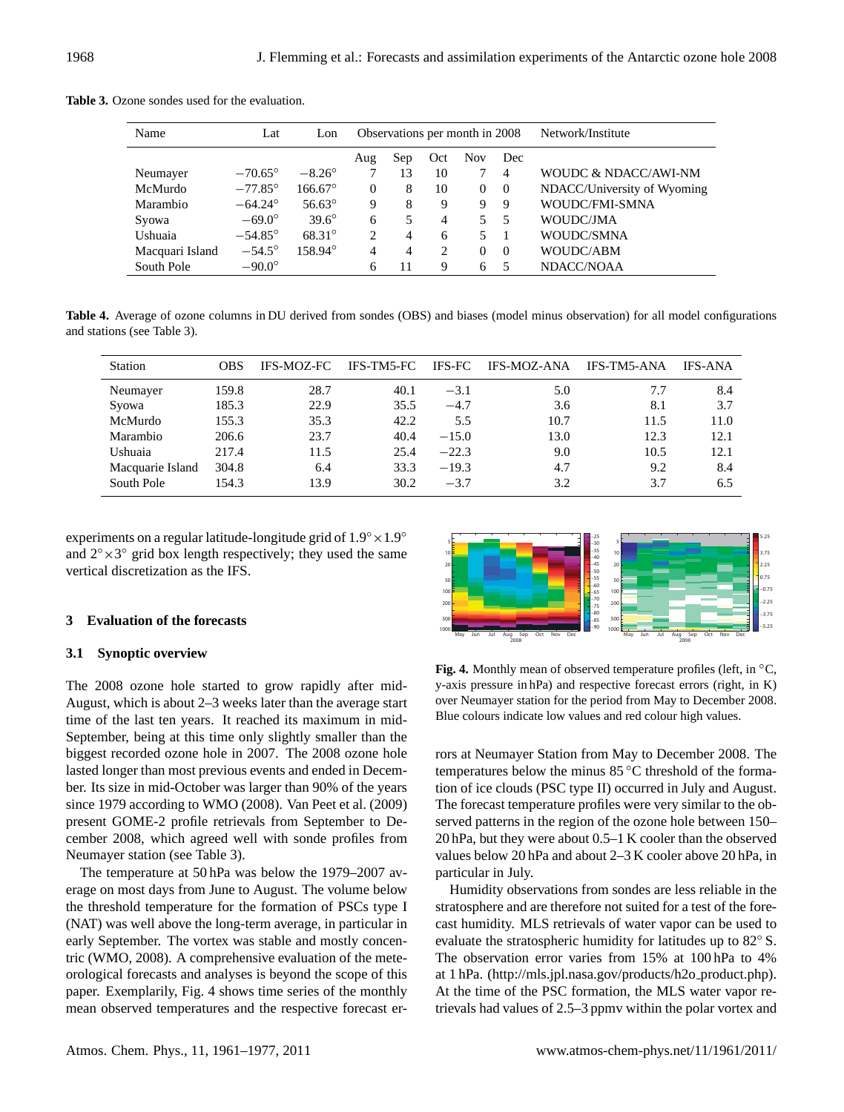| Name            | Lat              | Lon              |          | Observations per month in 2008 |                             |             |                | Network/Institute           |
|-----------------|------------------|------------------|----------|--------------------------------|-----------------------------|-------------|----------------|-----------------------------|
|                 |                  |                  | Aug      | Sep                            | Oct                         | <b>Nov</b>  | Dec            |                             |
| Neumayer        | $-70.65^\circ$   | $-8.26^{\circ}$  | 7        | 13                             | 10                          | 7           | $\overline{4}$ | WOUDC & NDACC/AWI-NM        |
| McMurdo         | $-77.85^{\circ}$ | $166.67^{\circ}$ | $\Omega$ | 8                              | 10                          | $\Omega$    | $\Omega$       | NDACC/University of Wyoming |
| Marambio        | $-64.24^{\circ}$ | $56.63^{\circ}$  | 9        | 8                              | 9                           | 9           | -9             | WOUDC/FMI-SMNA              |
| Syowa           | $-69.0^\circ$    | $39.6^{\circ}$   | 6        | 5                              | 4                           | 5.          | - 5            | WOUDC/JMA                   |
| Ushuaia         | $-54.85^{\circ}$ | $68.31^{\circ}$  | 2        | $\overline{4}$                 | 6                           | $5^{\circ}$ |                | WOUDC/SMNA                  |
| Macquari Island | $-54.5^\circ$    | 158.94°          | 4        | 4                              | $\mathcal{D}_{\mathcal{L}}$ | $\Omega$    | $\Omega$       | WOUDC/ABM                   |
| South Pole      | $-90.0^\circ$    |                  | 6        | 11                             | 9                           | 6           |                | NDACC/NOAA                  |
|                 |                  |                  |          |                                |                             |             |                |                             |

**Table 3.** Ozone sondes used for the evaluation.

**Table 4.** Average of ozone columns in DU derived from sondes (OBS) and biases (model minus observation) for all model configurations and stations (see Table 3).

| <b>Station</b>   | OBS   | <b>IFS-MOZ-FC</b> | <b>IFS-TM5-FC</b> | <b>IFS-FC</b> | <b>IFS-MOZ-ANA</b> | <b>IFS-TM5-ANA</b> | <b>IFS-ANA</b> |
|------------------|-------|-------------------|-------------------|---------------|--------------------|--------------------|----------------|
| Neumayer         | 159.8 | 28.7              | 40.1              | $-3.1$        | 5.0                | 7.7                | 8.4            |
| Syowa            | 185.3 | 22.9              | 35.5              | $-4.7$        | 3.6                | 8.1                | 3.7            |
| McMurdo          | 155.3 | 35.3              | 42.2              | 5.5           | 10.7               | 11.5               | 11.0           |
| Marambio         | 206.6 | 23.7              | 40.4              | $-15.0$       | 13.0               | 12.3               | 12.1           |
| Ushuaia          | 217.4 | 11.5              | 25.4              | $-22.3$       | 9.0                | 10.5               | 12.1           |
| Macquarie Island | 304.8 | 6.4               | 33.3              | $-19.3$       | 4.7                | 9.2                | 8.4            |
| South Pole       | 154.3 | 13.9              | 30.2              | $-3.7$        | 3.2                | 3.7                | 6.5            |

experiments on a regular latitude-longitude grid of  $1.9° \times 1.9°$ and  $2^{\circ} \times 3^{\circ}$  grid box length respectively; they used the same vertical discretization as the IFS.

## **3 Evaluation of the forecasts**

# **3.1 Synoptic overview**

The 2008 ozone hole started to grow rapidly after mid-August, which is about 2–3 weeks later than the average start time of the last ten years. It reached its maximum in mid-September, being at this time only slightly smaller than the biggest recorded ozone hole in 2007. The 2008 ozone hole lasted longer than most previous events and ended in December. Its size in mid-October was larger than 90% of the years since 1979 according to WMO (2008). Van Peet et al. (2009) present GOME-2 profile retrievals from September to December 2008, which agreed well with sonde profiles from Neumayer station (see Table 3).

The temperature at 50 hPa was below the 1979–2007 average on most days from June to August. The volume below the threshold temperature for the formation of PSCs type I (NAT) was well above the long-term average, in particular in early September. The vortex was stable and mostly concentric (WMO, 2008). A comprehensive evaluation of the meteorological forecasts and analyses is beyond the scope of this paper. Exemplarily, Fig. 4 shows time series of the monthly mean observed temperatures and the respective forecast er-



**Fig. 4.** Monthly mean of observed temperature profiles (left, in ◦C, y-axis pressure in hPa) and respective forecast errors (right, in K) over Neumayer station for the period from May to December 2008. Blue colours indicate low values and red colour high values.

rors at Neumayer Station from May to December 2008. The temperatures below the minus 85 ◦C threshold of the formation of ice clouds (PSC type II) occurred in July and August. The forecast temperature profiles were very similar to the observed patterns in the region of the ozone hole between 150– 20 hPa, but they were about 0.5–1 K cooler than the observed values below 20 hPa and about 2–3 K cooler above 20 hPa, in particular in July.

Humidity observations from sondes are less reliable in the stratosphere and are therefore not suited for a test of the forecast humidity. MLS retrievals of water vapor can be used to evaluate the stratospheric humidity for latitudes up to 82◦ S. The observation error varies from 15% at 100 hPa to 4% at 1 hPa. [\(http://mls.jpl.nasa.gov/products/h2o](http://mls.jpl.nasa.gov/products/h2o_product.php)\_product.php). At the time of the PSC formation, the MLS water vapor retrievals had values of 2.5–3 ppmv within the polar vortex and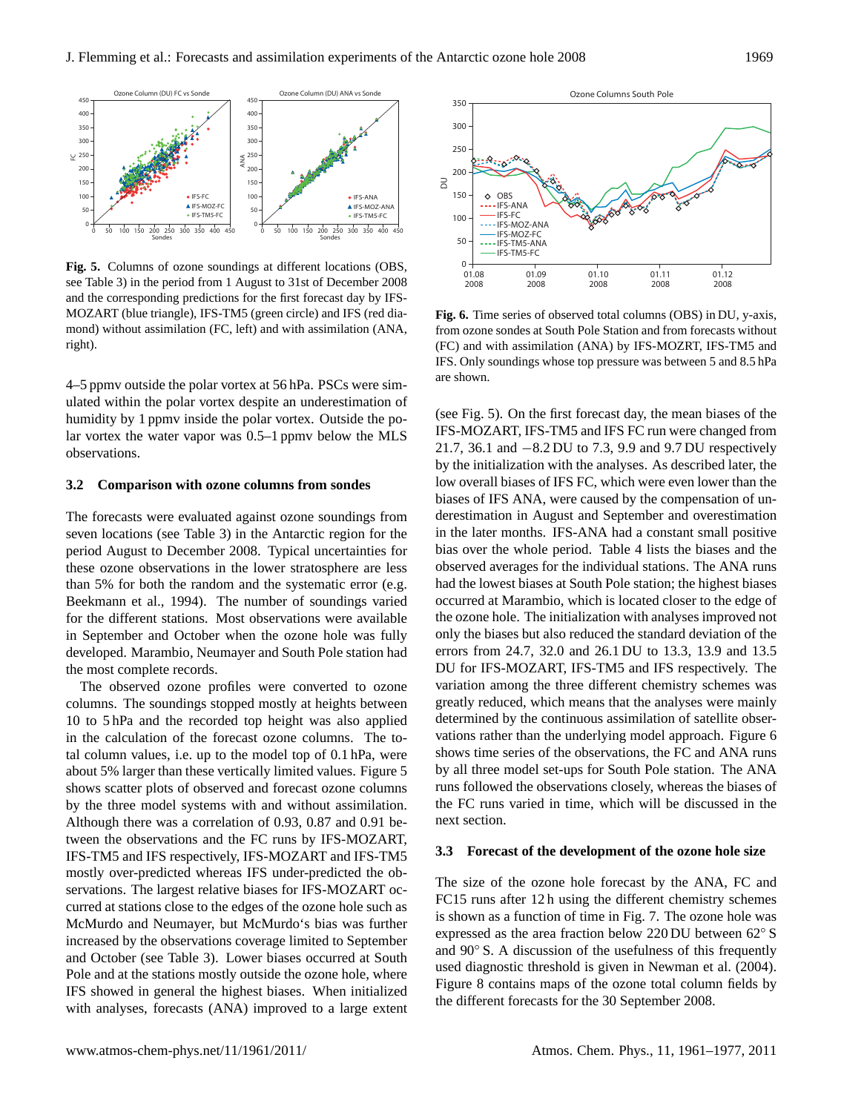

**Fig. 5.** Columns of ozone soundings at different locations (OBS, see Table 3) in the period from 1 August to 31st of December 2008 and the corresponding predictions for the first forecast day by IFS-MOZART (blue triangle), IFS-TM5 (green circle) and IFS (red diamond) without assimilation (FC, left) and with assimilation (ANA, right).

4–5 ppmv outside the polar vortex at 56 hPa. PSCs were simulated within the polar vortex despite an underestimation of humidity by 1 ppmv inside the polar vortex. Outside the polar vortex the water vapor was 0.5–1 ppmv below the MLS observations.

#### **3.2 Comparison with ozone columns from sondes**

The forecasts were evaluated against ozone soundings from seven locations (see Table 3) in the Antarctic region for the period August to December 2008. Typical uncertainties for these ozone observations in the lower stratosphere are less than 5% for both the random and the systematic error (e.g. Beekmann et al., 1994). The number of soundings varied for the different stations. Most observations were available in September and October when the ozone hole was fully developed. Marambio, Neumayer and South Pole station had the most complete records.

The observed ozone profiles were converted to ozone columns. The soundings stopped mostly at heights between 10 to 5 hPa and the recorded top height was also applied in the calculation of the forecast ozone columns. The total column values, i.e. up to the model top of 0.1 hPa, were about 5% larger than these vertically limited values. Figure 5 shows scatter plots of observed and forecast ozone columns by the three model systems with and without assimilation. Although there was a correlation of 0.93, 0.87 and 0.91 between the observations and the FC runs by IFS-MOZART, IFS-TM5 and IFS respectively, IFS-MOZART and IFS-TM5 mostly over-predicted whereas IFS under-predicted the observations. The largest relative biases for IFS-MOZART occurred at stations close to the edges of the ozone hole such as McMurdo and Neumayer, but McMurdo's bias was further increased by the observations coverage limited to September and October (see Table 3). Lower biases occurred at South Pole and at the stations mostly outside the ozone hole, where IFS showed in general the highest biases. When initialized with analyses, forecasts (ANA) improved to a large extent



**Fig. 6.** Time series of observed total columns (OBS) in DU, y-axis, from ozone sondes at South Pole Station and from forecasts without (FC) and with assimilation (ANA) by IFS-MOZRT, IFS-TM5 and IFS. Only soundings whose top pressure was between 5 and 8.5 hPa are shown.

(see Fig. 5). On the first forecast day, the mean biases of the IFS-MOZART, IFS-TM5 and IFS FC run were changed from 21.7, 36.1 and −8.2 DU to 7.3, 9.9 and 9.7 DU respectively by the initialization with the analyses. As described later, the low overall biases of IFS FC, which were even lower than the biases of IFS ANA, were caused by the compensation of underestimation in August and September and overestimation in the later months. IFS-ANA had a constant small positive bias over the whole period. Table 4 lists the biases and the observed averages for the individual stations. The ANA runs had the lowest biases at South Pole station; the highest biases occurred at Marambio, which is located closer to the edge of the ozone hole. The initialization with analyses improved not only the biases but also reduced the standard deviation of the errors from 24.7, 32.0 and 26.1 DU to 13.3, 13.9 and 13.5 DU for IFS-MOZART, IFS-TM5 and IFS respectively. The variation among the three different chemistry schemes was greatly reduced, which means that the analyses were mainly determined by the continuous assimilation of satellite observations rather than the underlying model approach. Figure 6 shows time series of the observations, the FC and ANA runs by all three model set-ups for South Pole station. The ANA runs followed the observations closely, whereas the biases of the FC runs varied in time, which will be discussed in the next section.

#### **3.3 Forecast of the development of the ozone hole size**

The size of the ozone hole forecast by the ANA, FC and FC15 runs after 12 h using the different chemistry schemes is shown as a function of time in Fig. 7. The ozone hole was expressed as the area fraction below 220 DU between 62◦ S and 90◦ S. A discussion of the usefulness of this frequently used diagnostic threshold is given in Newman et al. (2004). Figure 8 contains maps of the ozone total column fields by the different forecasts for the 30 September 2008.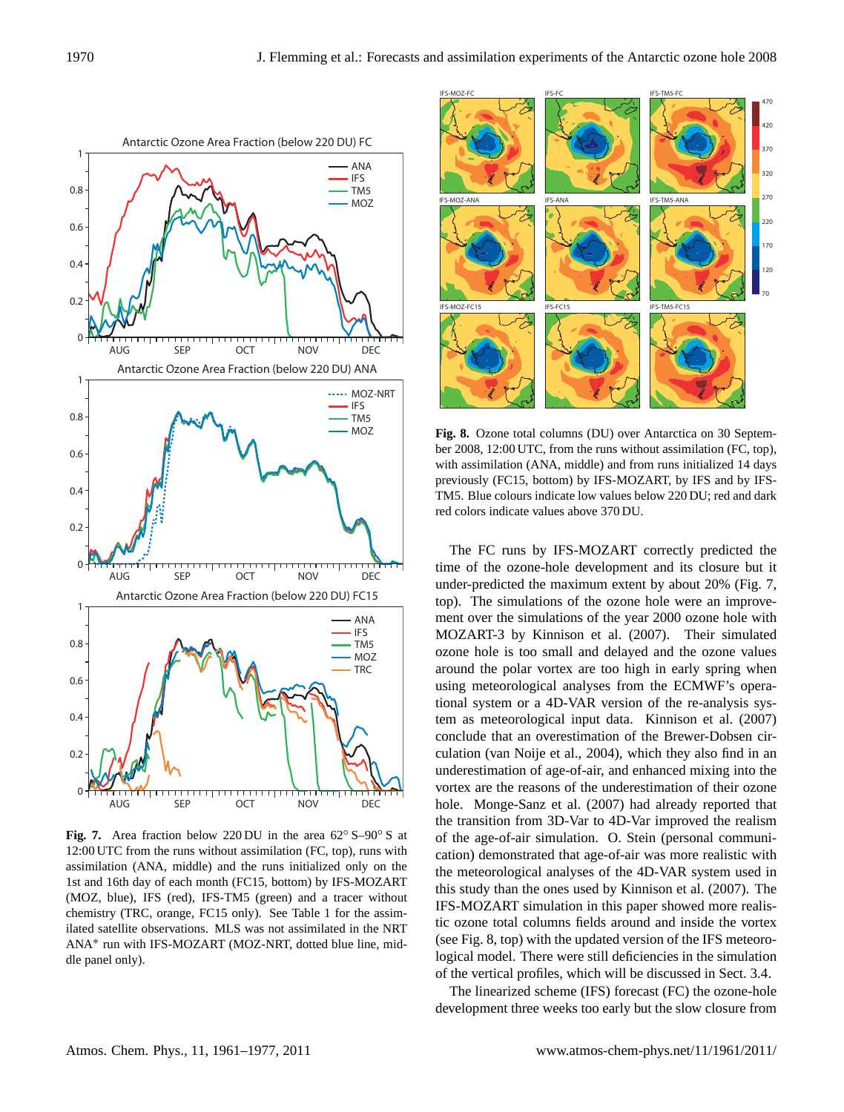

**Fig. 7.** Area fraction below 220 DU in the area 62◦ S–90◦ S at 12:00 UTC from the runs without assimilation (FC, top), runs with assimilation (ANA, middle) and the runs initialized only on the 1st and 16th day of each month (FC15, bottom) by IFS-MOZART (MOZ, blue), IFS (red), IFS-TM5 (green) and a tracer without chemistry (TRC, orange, FC15 only). See Table 1 for the assimilated satellite observations. MLS was not assimilated in the NRT ANA<sup>∗</sup> run with IFS-MOZART (MOZ-NRT, dotted blue line, middle panel only).



**Fig. 8.** Ozone total columns (DU) over Antarctica on 30 September 2008, 12:00 UTC, from the runs without assimilation (FC, top), with assimilation (ANA, middle) and from runs initialized 14 days previously (FC15, bottom) by IFS-MOZART, by IFS and by IFS-TM5. Blue colours indicate low values below 220 DU; red and dark red colors indicate values above 370 DU.

The FC runs by IFS-MOZART correctly predicted the time of the ozone-hole development and its closure but it under-predicted the maximum extent by about 20% (Fig. 7, top). The simulations of the ozone hole were an improvement over the simulations of the year 2000 ozone hole with MOZART-3 by Kinnison et al. (2007). Their simulated ozone hole is too small and delayed and the ozone values around the polar vortex are too high in early spring when using meteorological analyses from the ECMWF's operational system or a 4D-VAR version of the re-analysis system as meteorological input data. Kinnison et al. (2007) conclude that an overestimation of the Brewer-Dobsen circulation (van Noije et al., 2004), which they also find in an underestimation of age-of-air, and enhanced mixing into the vortex are the reasons of the underestimation of their ozone hole. Monge-Sanz et al. (2007) had already reported that the transition from 3D-Var to 4D-Var improved the realism of the age-of-air simulation. O. Stein (personal communication) demonstrated that age-of-air was more realistic with the meteorological analyses of the 4D-VAR system used in this study than the ones used by Kinnison et al. (2007). The IFS-MOZART simulation in this paper showed more realistic ozone total columns fields around and inside the vortex (see Fig. 8, top) with the updated version of the IFS meteorological model. There were still deficiencies in the simulation of the vertical profiles, which will be discussed in Sect. 3.4.

The linearized scheme (IFS) forecast (FC) the ozone-hole development three weeks too early but the slow closure from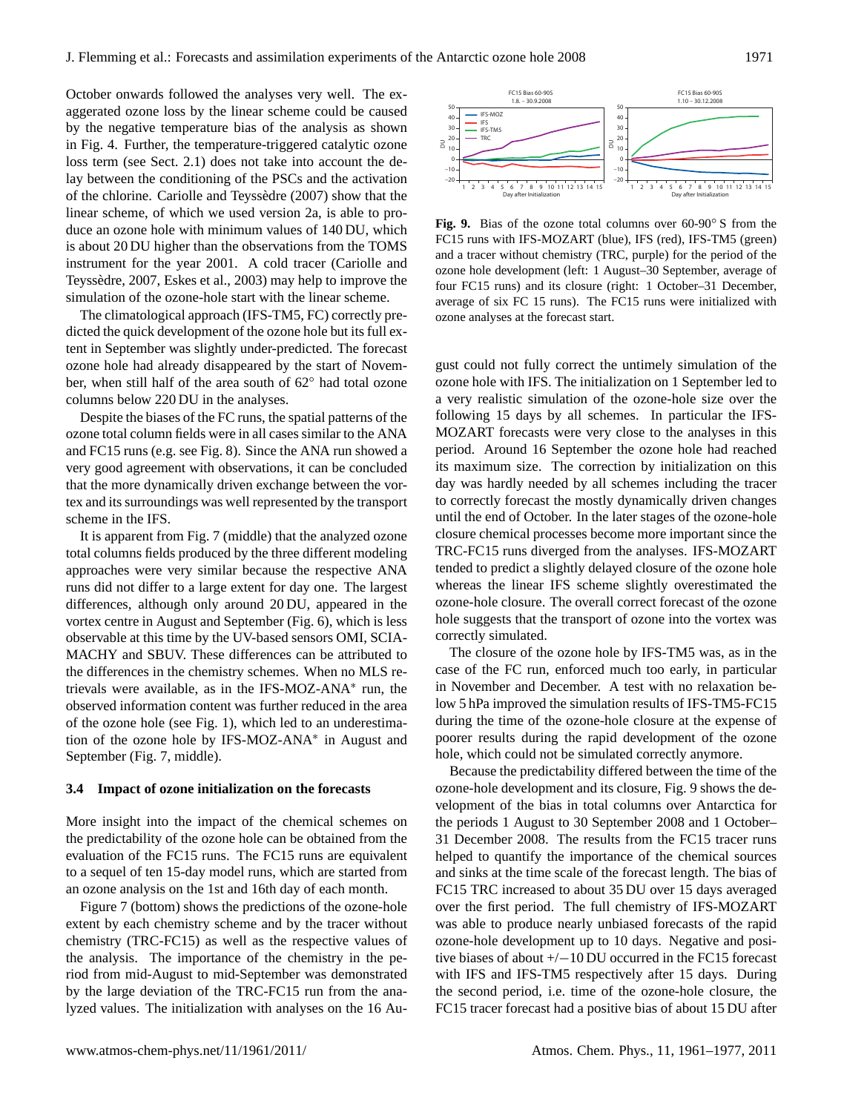October onwards followed the analyses very well. The exaggerated ozone loss by the linear scheme could be caused by the negative temperature bias of the analysis as shown in Fig. 4. Further, the temperature-triggered catalytic ozone loss term (see Sect. 2.1) does not take into account the delay between the conditioning of the PSCs and the activation of the chlorine. Cariolle and Teyssedre (2007) show that the ` linear scheme, of which we used version 2a, is able to produce an ozone hole with minimum values of 140 DU, which is about 20 DU higher than the observations from the TOMS instrument for the year 2001. A cold tracer (Cariolle and Teyssedre, 2007, Eskes et al., 2003) may help to improve the ` simulation of the ozone-hole start with the linear scheme.

The climatological approach (IFS-TM5, FC) correctly predicted the quick development of the ozone hole but its full extent in September was slightly under-predicted. The forecast ozone hole had already disappeared by the start of November, when still half of the area south of 62◦ had total ozone columns below 220 DU in the analyses.

Despite the biases of the FC runs, the spatial patterns of the ozone total column fields were in all cases similar to the ANA and FC15 runs (e.g. see Fig. 8). Since the ANA run showed a very good agreement with observations, it can be concluded that the more dynamically driven exchange between the vortex and its surroundings was well represented by the transport scheme in the IFS.

It is apparent from Fig. 7 (middle) that the analyzed ozone total columns fields produced by the three different modeling approaches were very similar because the respective ANA runs did not differ to a large extent for day one. The largest differences, although only around 20 DU, appeared in the vortex centre in August and September (Fig. 6), which is less observable at this time by the UV-based sensors OMI, SCIA-MACHY and SBUV. These differences can be attributed to the differences in the chemistry schemes. When no MLS retrievals were available, as in the IFS-MOZ-ANA<sup>∗</sup> run, the observed information content was further reduced in the area of the ozone hole (see Fig. 1), which led to an underestimation of the ozone hole by IFS-MOZ-ANA<sup>∗</sup> in August and September (Fig. 7, middle).

#### **3.4 Impact of ozone initialization on the forecasts**

More insight into the impact of the chemical schemes on the predictability of the ozone hole can be obtained from the evaluation of the FC15 runs. The FC15 runs are equivalent to a sequel of ten 15-day model runs, which are started from an ozone analysis on the 1st and 16th day of each month.

Figure 7 (bottom) shows the predictions of the ozone-hole extent by each chemistry scheme and by the tracer without chemistry (TRC-FC15) as well as the respective values of the analysis. The importance of the chemistry in the period from mid-August to mid-September was demonstrated by the large deviation of the TRC-FC15 run from the analyzed values. The initialization with analyses on the 16 Au-



**Fig. 9.** Bias of the ozone total columns over 60-90◦ S from the FC15 runs with IFS-MOZART (blue), IFS (red), IFS-TM5 (green) and a tracer without chemistry (TRC, purple) for the period of the ozone hole development (left: 1 August–30 September, average of four FC15 runs) and its closure (right: 1 October–31 December, average of six FC 15 runs). The FC15 runs were initialized with ozone analyses at the forecast start.

gust could not fully correct the untimely simulation of the ozone hole with IFS. The initialization on 1 September led to a very realistic simulation of the ozone-hole size over the following 15 days by all schemes. In particular the IFS-MOZART forecasts were very close to the analyses in this period. Around 16 September the ozone hole had reached its maximum size. The correction by initialization on this day was hardly needed by all schemes including the tracer to correctly forecast the mostly dynamically driven changes until the end of October. In the later stages of the ozone-hole closure chemical processes become more important since the TRC-FC15 runs diverged from the analyses. IFS-MOZART tended to predict a slightly delayed closure of the ozone hole whereas the linear IFS scheme slightly overestimated the ozone-hole closure. The overall correct forecast of the ozone hole suggests that the transport of ozone into the vortex was correctly simulated.

The closure of the ozone hole by IFS-TM5 was, as in the case of the FC run, enforced much too early, in particular in November and December. A test with no relaxation below 5 hPa improved the simulation results of IFS-TM5-FC15 during the time of the ozone-hole closure at the expense of poorer results during the rapid development of the ozone hole, which could not be simulated correctly anymore.

Because the predictability differed between the time of the ozone-hole development and its closure, Fig. 9 shows the development of the bias in total columns over Antarctica for the periods 1 August to 30 September 2008 and 1 October– 31 December 2008. The results from the FC15 tracer runs helped to quantify the importance of the chemical sources and sinks at the time scale of the forecast length. The bias of FC15 TRC increased to about 35 DU over 15 days averaged over the first period. The full chemistry of IFS-MOZART was able to produce nearly unbiased forecasts of the rapid ozone-hole development up to 10 days. Negative and positive biases of about +/−10 DU occurred in the FC15 forecast with IFS and IFS-TM5 respectively after 15 days. During the second period, i.e. time of the ozone-hole closure, the FC15 tracer forecast had a positive bias of about 15 DU after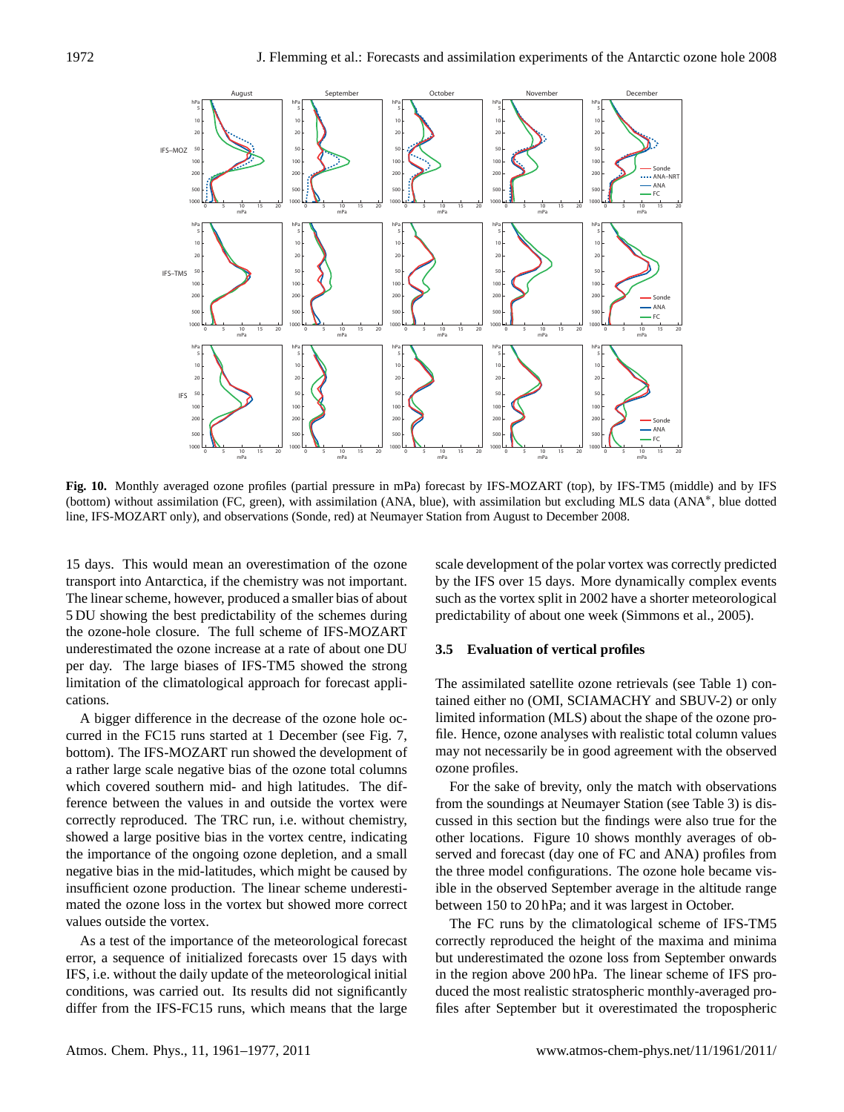

**Fig. 10.** Monthly averaged ozone profiles (partial pressure in mPa) forecast by IFS-MOZART (top), by IFS-TM5 (middle) and by IFS (bottom) without assimilation (FC, green), with assimilation (ANA, blue), with assimilation but excluding MLS data (ANA<sup>∗</sup> , blue dotted line, IFS-MOZART only), and observations (Sonde, red) at Neumayer Station from August to December 2008.

15 days. This would mean an overestimation of the ozone transport into Antarctica, if the chemistry was not important. The linear scheme, however, produced a smaller bias of about 5 DU showing the best predictability of the schemes during the ozone-hole closure. The full scheme of IFS-MOZART underestimated the ozone increase at a rate of about one DU per day. The large biases of IFS-TM5 showed the strong limitation of the climatological approach for forecast applications.

A bigger difference in the decrease of the ozone hole occurred in the FC15 runs started at 1 December (see Fig. 7, bottom). The IFS-MOZART run showed the development of a rather large scale negative bias of the ozone total columns which covered southern mid- and high latitudes. The difference between the values in and outside the vortex were correctly reproduced. The TRC run, i.e. without chemistry, showed a large positive bias in the vortex centre, indicating the importance of the ongoing ozone depletion, and a small negative bias in the mid-latitudes, which might be caused by insufficient ozone production. The linear scheme underestimated the ozone loss in the vortex but showed more correct values outside the vortex.

As a test of the importance of the meteorological forecast error, a sequence of initialized forecasts over 15 days with IFS, i.e. without the daily update of the meteorological initial conditions, was carried out. Its results did not significantly differ from the IFS-FC15 runs, which means that the large scale development of the polar vortex was correctly predicted by the IFS over 15 days. More dynamically complex events such as the vortex split in 2002 have a shorter meteorological predictability of about one week (Simmons et al., 2005).

#### **3.5 Evaluation of vertical profiles**

The assimilated satellite ozone retrievals (see Table 1) contained either no (OMI, SCIAMACHY and SBUV-2) or only limited information (MLS) about the shape of the ozone profile. Hence, ozone analyses with realistic total column values may not necessarily be in good agreement with the observed ozone profiles.

For the sake of brevity, only the match with observations from the soundings at Neumayer Station (see Table 3) is discussed in this section but the findings were also true for the other locations. Figure 10 shows monthly averages of observed and forecast (day one of FC and ANA) profiles from the three model configurations. The ozone hole became visible in the observed September average in the altitude range between 150 to 20 hPa; and it was largest in October.

The FC runs by the climatological scheme of IFS-TM5 correctly reproduced the height of the maxima and minima but underestimated the ozone loss from September onwards in the region above 200 hPa. The linear scheme of IFS produced the most realistic stratospheric monthly-averaged profiles after September but it overestimated the tropospheric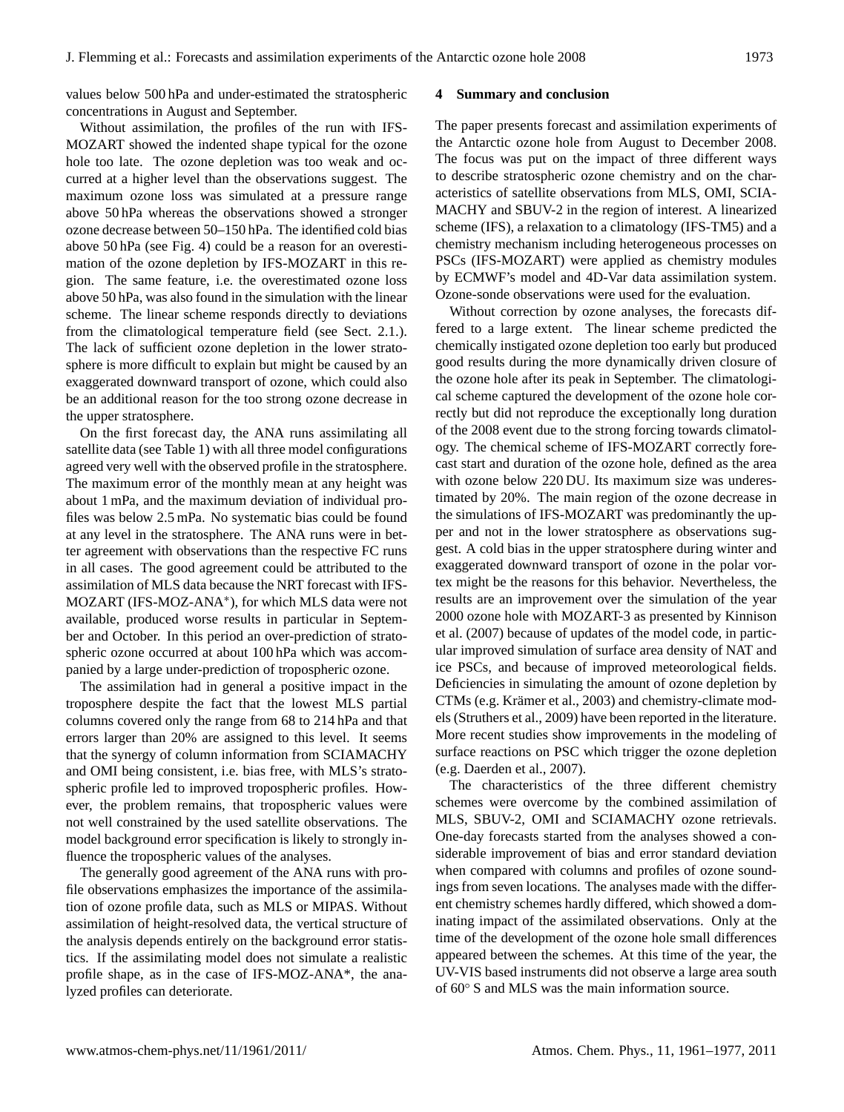values below 500 hPa and under-estimated the stratospheric concentrations in August and September.

Without assimilation, the profiles of the run with IFS-MOZART showed the indented shape typical for the ozone hole too late. The ozone depletion was too weak and occurred at a higher level than the observations suggest. The maximum ozone loss was simulated at a pressure range above 50 hPa whereas the observations showed a stronger ozone decrease between 50–150 hPa. The identified cold bias above 50 hPa (see Fig. 4) could be a reason for an overestimation of the ozone depletion by IFS-MOZART in this region. The same feature, i.e. the overestimated ozone loss above 50 hPa, was also found in the simulation with the linear scheme. The linear scheme responds directly to deviations from the climatological temperature field (see Sect. 2.1.). The lack of sufficient ozone depletion in the lower stratosphere is more difficult to explain but might be caused by an exaggerated downward transport of ozone, which could also be an additional reason for the too strong ozone decrease in the upper stratosphere.

On the first forecast day, the ANA runs assimilating all satellite data (see Table 1) with all three model configurations agreed very well with the observed profile in the stratosphere. The maximum error of the monthly mean at any height was about 1 mPa, and the maximum deviation of individual profiles was below 2.5 mPa. No systematic bias could be found at any level in the stratosphere. The ANA runs were in better agreement with observations than the respective FC runs in all cases. The good agreement could be attributed to the assimilation of MLS data because the NRT forecast with IFS-MOZART (IFS-MOZ-ANA<sup>∗</sup> ), for which MLS data were not available, produced worse results in particular in September and October. In this period an over-prediction of stratospheric ozone occurred at about 100 hPa which was accompanied by a large under-prediction of tropospheric ozone.

The assimilation had in general a positive impact in the troposphere despite the fact that the lowest MLS partial columns covered only the range from 68 to 214 hPa and that errors larger than 20% are assigned to this level. It seems that the synergy of column information from SCIAMACHY and OMI being consistent, i.e. bias free, with MLS's stratospheric profile led to improved tropospheric profiles. However, the problem remains, that tropospheric values were not well constrained by the used satellite observations. The model background error specification is likely to strongly influence the tropospheric values of the analyses.

The generally good agreement of the ANA runs with profile observations emphasizes the importance of the assimilation of ozone profile data, such as MLS or MIPAS. Without assimilation of height-resolved data, the vertical structure of the analysis depends entirely on the background error statistics. If the assimilating model does not simulate a realistic profile shape, as in the case of IFS-MOZ-ANA\*, the analyzed profiles can deteriorate.

#### **4 Summary and conclusion**

The paper presents forecast and assimilation experiments of the Antarctic ozone hole from August to December 2008. The focus was put on the impact of three different ways to describe stratospheric ozone chemistry and on the characteristics of satellite observations from MLS, OMI, SCIA-MACHY and SBUV-2 in the region of interest. A linearized scheme (IFS), a relaxation to a climatology (IFS-TM5) and a chemistry mechanism including heterogeneous processes on PSCs (IFS-MOZART) were applied as chemistry modules by ECMWF's model and 4D-Var data assimilation system. Ozone-sonde observations were used for the evaluation.

Without correction by ozone analyses, the forecasts differed to a large extent. The linear scheme predicted the chemically instigated ozone depletion too early but produced good results during the more dynamically driven closure of the ozone hole after its peak in September. The climatological scheme captured the development of the ozone hole correctly but did not reproduce the exceptionally long duration of the 2008 event due to the strong forcing towards climatology. The chemical scheme of IFS-MOZART correctly forecast start and duration of the ozone hole, defined as the area with ozone below 220 DU. Its maximum size was underestimated by 20%. The main region of the ozone decrease in the simulations of IFS-MOZART was predominantly the upper and not in the lower stratosphere as observations suggest. A cold bias in the upper stratosphere during winter and exaggerated downward transport of ozone in the polar vortex might be the reasons for this behavior. Nevertheless, the results are an improvement over the simulation of the year 2000 ozone hole with MOZART-3 as presented by Kinnison et al. (2007) because of updates of the model code, in particular improved simulation of surface area density of NAT and ice PSCs, and because of improved meteorological fields. Deficiencies in simulating the amount of ozone depletion by CTMs (e.g. Krämer et al., 2003) and chemistry-climate models (Struthers et al., 2009) have been reported in the literature. More recent studies show improvements in the modeling of surface reactions on PSC which trigger the ozone depletion (e.g. Daerden et al., 2007).

The characteristics of the three different chemistry schemes were overcome by the combined assimilation of MLS, SBUV-2, OMI and SCIAMACHY ozone retrievals. One-day forecasts started from the analyses showed a considerable improvement of bias and error standard deviation when compared with columns and profiles of ozone soundings from seven locations. The analyses made with the different chemistry schemes hardly differed, which showed a dominating impact of the assimilated observations. Only at the time of the development of the ozone hole small differences appeared between the schemes. At this time of the year, the UV-VIS based instruments did not observe a large area south of 60◦ S and MLS was the main information source.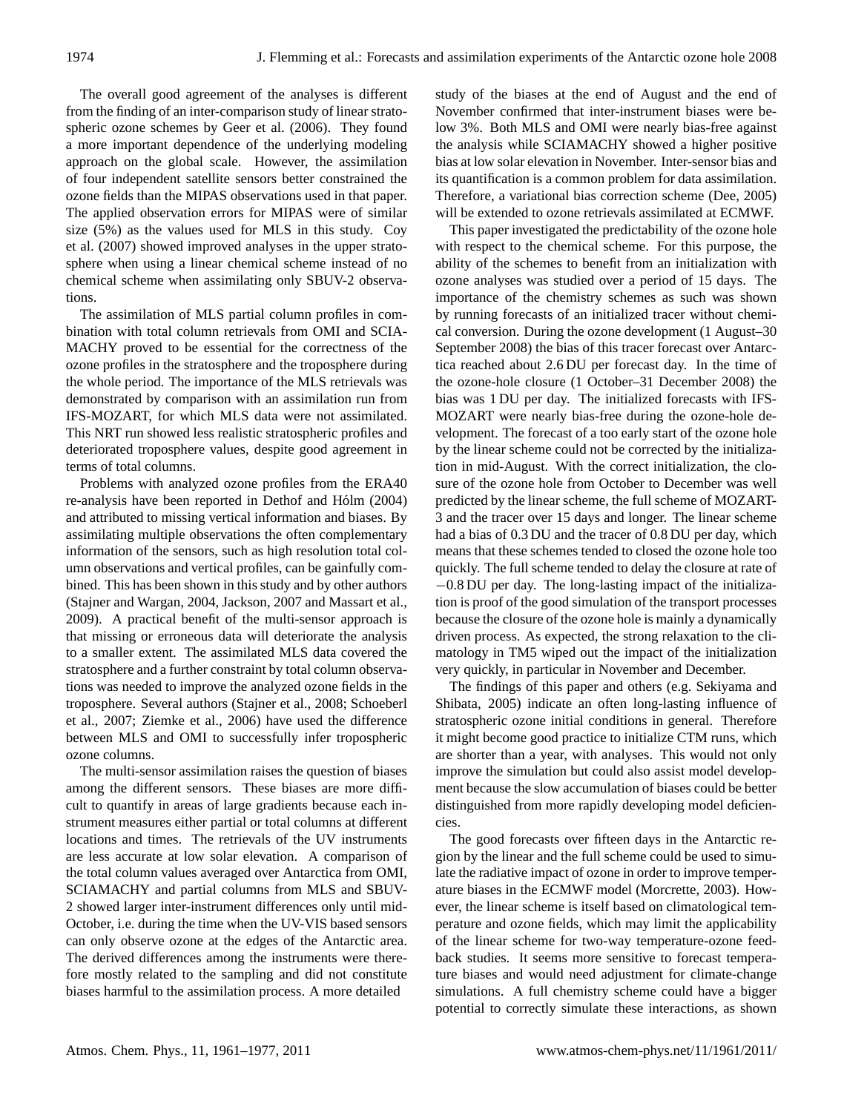The overall good agreement of the analyses is different from the finding of an inter-comparison study of linear stratospheric ozone schemes by Geer et al. (2006). They found a more important dependence of the underlying modeling approach on the global scale. However, the assimilation of four independent satellite sensors better constrained the ozone fields than the MIPAS observations used in that paper. The applied observation errors for MIPAS were of similar size (5%) as the values used for MLS in this study. Coy et al. (2007) showed improved analyses in the upper stratosphere when using a linear chemical scheme instead of no chemical scheme when assimilating only SBUV-2 observations.

The assimilation of MLS partial column profiles in combination with total column retrievals from OMI and SCIA-MACHY proved to be essential for the correctness of the ozone profiles in the stratosphere and the troposphere during the whole period. The importance of the MLS retrievals was demonstrated by comparison with an assimilation run from IFS-MOZART, for which MLS data were not assimilated. This NRT run showed less realistic stratospheric profiles and deteriorated troposphere values, despite good agreement in terms of total columns.

Problems with analyzed ozone profiles from the ERA40 re-analysis have been reported in Dethof and Hólm (2004) and attributed to missing vertical information and biases. By assimilating multiple observations the often complementary information of the sensors, such as high resolution total column observations and vertical profiles, can be gainfully combined. This has been shown in this study and by other authors (Stajner and Wargan, 2004, Jackson, 2007 and Massart et al., 2009). A practical benefit of the multi-sensor approach is that missing or erroneous data will deteriorate the analysis to a smaller extent. The assimilated MLS data covered the stratosphere and a further constraint by total column observations was needed to improve the analyzed ozone fields in the troposphere. Several authors (Stajner et al., 2008; Schoeberl et al., 2007; Ziemke et al., 2006) have used the difference between MLS and OMI to successfully infer tropospheric ozone columns.

The multi-sensor assimilation raises the question of biases among the different sensors. These biases are more difficult to quantify in areas of large gradients because each instrument measures either partial or total columns at different locations and times. The retrievals of the UV instruments are less accurate at low solar elevation. A comparison of the total column values averaged over Antarctica from OMI, SCIAMACHY and partial columns from MLS and SBUV-2 showed larger inter-instrument differences only until mid-October, i.e. during the time when the UV-VIS based sensors can only observe ozone at the edges of the Antarctic area. The derived differences among the instruments were therefore mostly related to the sampling and did not constitute biases harmful to the assimilation process. A more detailed

study of the biases at the end of August and the end of November confirmed that inter-instrument biases were below 3%. Both MLS and OMI were nearly bias-free against the analysis while SCIAMACHY showed a higher positive bias at low solar elevation in November. Inter-sensor bias and its quantification is a common problem for data assimilation. Therefore, a variational bias correction scheme (Dee, 2005) will be extended to ozone retrievals assimilated at ECMWF.

This paper investigated the predictability of the ozone hole with respect to the chemical scheme. For this purpose, the ability of the schemes to benefit from an initialization with ozone analyses was studied over a period of 15 days. The importance of the chemistry schemes as such was shown by running forecasts of an initialized tracer without chemical conversion. During the ozone development (1 August–30 September 2008) the bias of this tracer forecast over Antarctica reached about 2.6 DU per forecast day. In the time of the ozone-hole closure (1 October–31 December 2008) the bias was 1 DU per day. The initialized forecasts with IFS-MOZART were nearly bias-free during the ozone-hole development. The forecast of a too early start of the ozone hole by the linear scheme could not be corrected by the initialization in mid-August. With the correct initialization, the closure of the ozone hole from October to December was well predicted by the linear scheme, the full scheme of MOZART-3 and the tracer over 15 days and longer. The linear scheme had a bias of 0.3 DU and the tracer of 0.8 DU per day, which means that these schemes tended to closed the ozone hole too quickly. The full scheme tended to delay the closure at rate of −0.8 DU per day. The long-lasting impact of the initialization is proof of the good simulation of the transport processes because the closure of the ozone hole is mainly a dynamically driven process. As expected, the strong relaxation to the climatology in TM5 wiped out the impact of the initialization very quickly, in particular in November and December.

The findings of this paper and others (e.g. Sekiyama and Shibata, 2005) indicate an often long-lasting influence of stratospheric ozone initial conditions in general. Therefore it might become good practice to initialize CTM runs, which are shorter than a year, with analyses. This would not only improve the simulation but could also assist model development because the slow accumulation of biases could be better distinguished from more rapidly developing model deficiencies.

The good forecasts over fifteen days in the Antarctic region by the linear and the full scheme could be used to simulate the radiative impact of ozone in order to improve temperature biases in the ECMWF model (Morcrette, 2003). However, the linear scheme is itself based on climatological temperature and ozone fields, which may limit the applicability of the linear scheme for two-way temperature-ozone feedback studies. It seems more sensitive to forecast temperature biases and would need adjustment for climate-change simulations. A full chemistry scheme could have a bigger potential to correctly simulate these interactions, as shown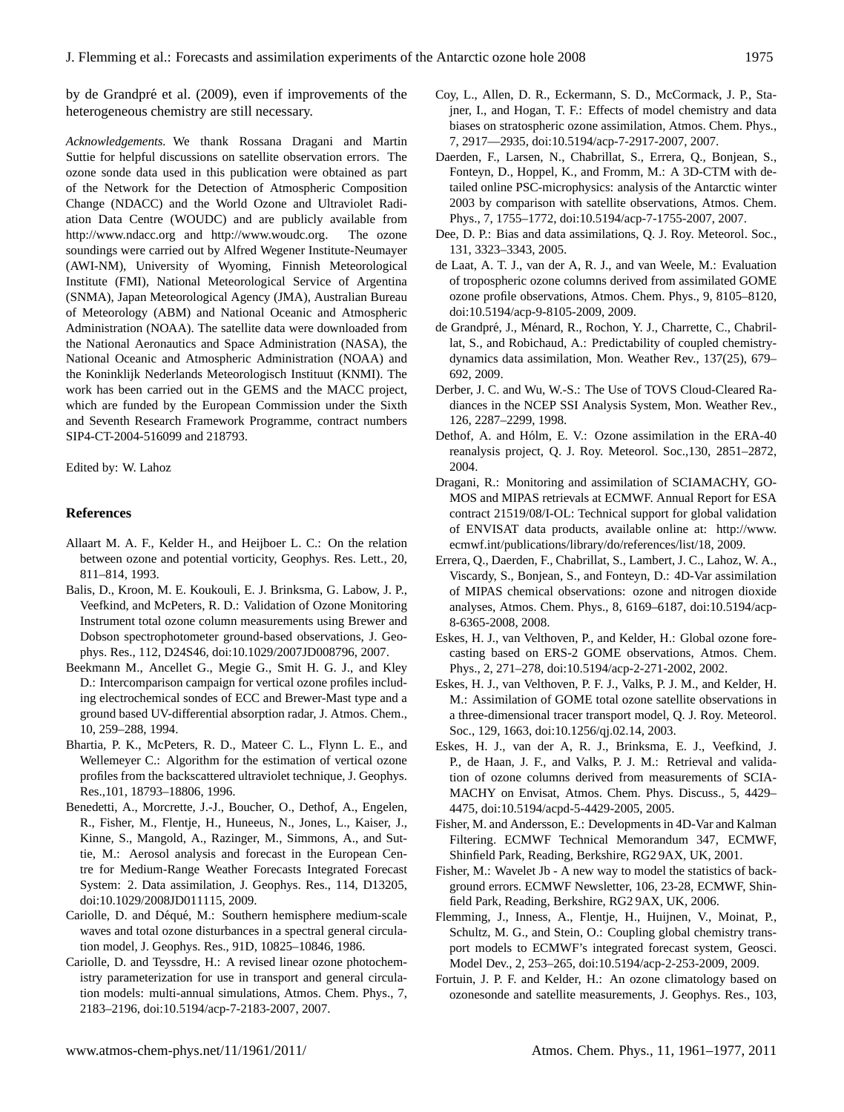by de Grandpré et al. (2009), even if improvements of the heterogeneous chemistry are still necessary.

*Acknowledgements.* We thank Rossana Dragani and Martin Suttie for helpful discussions on satellite observation errors. The ozone sonde data used in this publication were obtained as part of the Network for the Detection of Atmospheric Composition Change (NDACC) and the World Ozone and Ultraviolet Radiation Data Centre (WOUDC) and are publicly available from <http://www.ndacc.org> and [http://www.woudc.org.](http://www.woudc.org) The ozone soundings were carried out by Alfred Wegener Institute-Neumayer (AWI-NM), University of Wyoming, Finnish Meteorological Institute (FMI), National Meteorological Service of Argentina (SNMA), Japan Meteorological Agency (JMA), Australian Bureau of Meteorology (ABM) and National Oceanic and Atmospheric Administration (NOAA). The satellite data were downloaded from the National Aeronautics and Space Administration (NASA), the National Oceanic and Atmospheric Administration (NOAA) and the Koninklijk Nederlands Meteorologisch Instituut (KNMI). The work has been carried out in the GEMS and the MACC project, which are funded by the European Commission under the Sixth and Seventh Research Framework Programme, contract numbers SIP4-CT-2004-516099 and 218793.

Edited by: W. Lahoz

### **References**

- Allaart M. A. F., Kelder H., and Heijboer L. C.: On the relation between ozone and potential vorticity, Geophys. Res. Lett., 20, 811–814, 1993.
- Balis, D., Kroon, M. E. Koukouli, E. J. Brinksma, G. Labow, J. P., Veefkind, and McPeters, R. D.: Validation of Ozone Monitoring Instrument total ozone column measurements using Brewer and Dobson spectrophotometer ground-based observations, J. Geophys. Res., 112, D24S46, [doi:10.1029/2007JD008796,](http://dx.doi.org/10.1029/2007JD008796) 2007.
- Beekmann M., Ancellet G., Megie G., Smit H. G. J., and Kley D.: Intercomparison campaign for vertical ozone profiles including electrochemical sondes of ECC and Brewer-Mast type and a ground based UV-differential absorption radar, J. Atmos. Chem., 10, 259–288, 1994.
- Bhartia, P. K., McPeters, R. D., Mateer C. L., Flynn L. E., and Wellemeyer C.: Algorithm for the estimation of vertical ozone profiles from the backscattered ultraviolet technique, J. Geophys. Res.,101, 18793–18806, 1996.
- Benedetti, A., Morcrette, J.-J., Boucher, O., Dethof, A., Engelen, R., Fisher, M., Flentje, H., Huneeus, N., Jones, L., Kaiser, J., Kinne, S., Mangold, A., Razinger, M., Simmons, A., and Suttie, M.: Aerosol analysis and forecast in the European Centre for Medium-Range Weather Forecasts Integrated Forecast System: 2. Data assimilation, J. Geophys. Res., 114, D13205, [doi:10.1029/2008JD011115,](http://dx.doi.org/10.1029/2008JD011115) 2009.
- Cariolle, D. and Déqué, M.: Southern hemisphere medium-scale waves and total ozone disturbances in a spectral general circulation model, J. Geophys. Res., 91D, 10825–10846, 1986.
- Cariolle, D. and Teyssdre, H.: A revised linear ozone photochemistry parameterization for use in transport and general circulation models: multi-annual simulations, Atmos. Chem. Phys., 7, 2183–2196, [doi:10.5194/acp-7-2183-2007,](http://dx.doi.org/10.5194/acp-7-2183-2007) 2007.
- Coy, L., Allen, D. R., Eckermann, S. D., McCormack, J. P., Stajner, I., and Hogan, T. F.: Effects of model chemistry and data biases on stratospheric ozone assimilation, Atmos. Chem. Phys., 7, 2917—2935, [doi:10.5194/acp-7-2917-2007,](http://dx.doi.org/10.5194/acp-7-2917-2007) 2007.
- Daerden, F., Larsen, N., Chabrillat, S., Errera, Q., Bonjean, S., Fonteyn, D., Hoppel, K., and Fromm, M.: A 3D-CTM with detailed online PSC-microphysics: analysis of the Antarctic winter 2003 by comparison with satellite observations, Atmos. Chem. Phys., 7, 1755–1772, [doi:10.5194/acp-7-1755-2007,](http://dx.doi.org/10.5194/acp-7-1755-2007) 2007.
- Dee, D. P.: Bias and data assimilations, Q. J. Roy. Meteorol. Soc., 131, 3323–3343, 2005.
- de Laat, A. T. J., van der A, R. J., and van Weele, M.: Evaluation of tropospheric ozone columns derived from assimilated GOME ozone profile observations, Atmos. Chem. Phys., 9, 8105–8120, [doi:10.5194/acp-9-8105-2009,](http://dx.doi.org/10.5194/acp-9-8105-2009) 2009.
- de Grandpré, J., Ménard, R., Rochon, Y. J., Charrette, C., Chabrillat, S., and Robichaud, A.: Predictability of coupled chemistrydynamics data assimilation, Mon. Weather Rev., 137(25), 679– 692, 2009.
- Derber, J. C. and Wu, W.-S.: The Use of TOVS Cloud-Cleared Radiances in the NCEP SSI Analysis System, Mon. Weather Rev., 126, 2287–2299, 1998.
- Dethof, A. and Hólm, E. V.: Ozone assimilation in the ERA-40 reanalysis project, Q. J. Roy. Meteorol. Soc.,130, 2851–2872, 2004.
- Dragani, R.: Monitoring and assimilation of SCIAMACHY, GO-MOS and MIPAS retrievals at ECMWF. Annual Report for ESA contract 21519/08/I-OL: Technical support for global validation of ENVISAT data products, available online at: [http://www.](http://www.ecmwf.int/publications/library/do/references/list/18) [ecmwf.int/publications/library/do/references/list/18,](http://www.ecmwf.int/publications/library/do/references/list/18) 2009.
- Errera, Q., Daerden, F., Chabrillat, S., Lambert, J. C., Lahoz, W. A., Viscardy, S., Bonjean, S., and Fonteyn, D.: 4D-Var assimilation of MIPAS chemical observations: ozone and nitrogen dioxide analyses, Atmos. Chem. Phys., 8, 6169–6187, [doi:10.5194/acp-](http://dx.doi.org/10.5194/acp-8-6365-2008)[8-6365-2008,](http://dx.doi.org/10.5194/acp-8-6365-2008) 2008.
- Eskes, H. J., van Velthoven, P., and Kelder, H.: Global ozone forecasting based on ERS-2 GOME observations, Atmos. Chem. Phys., 2, 271–278, [doi:10.5194/acp-2-271-2002,](http://dx.doi.org/10.5194/acp-2-271-2002) 2002.
- Eskes, H. J., van Velthoven, P. F. J., Valks, P. J. M., and Kelder, H. M.: Assimilation of GOME total ozone satellite observations in a three-dimensional tracer transport model, Q. J. Roy. Meteorol. Soc., 129, 1663, [doi:10.1256/qj.02.14,](http://dx.doi.org/10.1256/qj.02.14) 2003.
- Eskes, H. J., van der A, R. J., Brinksma, E. J., Veefkind, J. P., de Haan, J. F., and Valks, P. J. M.: Retrieval and validation of ozone columns derived from measurements of SCIA-MACHY on Envisat, Atmos. Chem. Phys. Discuss., 5, 4429– 4475, [doi:10.5194/acpd-5-4429-2005,](http://dx.doi.org/10.5194/acpd-5-4429-2005) 2005.
- Fisher, M. and Andersson, E.: Developments in 4D-Var and Kalman Filtering. ECMWF Technical Memorandum 347, ECMWF, Shinfield Park, Reading, Berkshire, RG2 9AX, UK, 2001.
- Fisher, M.: Wavelet Jb A new way to model the statistics of background errors. ECMWF Newsletter, 106, 23-28, ECMWF, Shinfield Park, Reading, Berkshire, RG2 9AX, UK, 2006.
- Flemming, J., Inness, A., Flentje, H., Huijnen, V., Moinat, P., Schultz, M. G., and Stein, O.: Coupling global chemistry transport models to ECMWF's integrated forecast system, Geosci. Model Dev., 2, 253–265, [doi:10.5194/acp-2-253-2009,](http://dx.doi.org/10.5194/acp-2-253-2009) 2009.
- Fortuin, J. P. F. and Kelder, H.: An ozone climatology based on ozonesonde and satellite measurements, J. Geophys. Res., 103,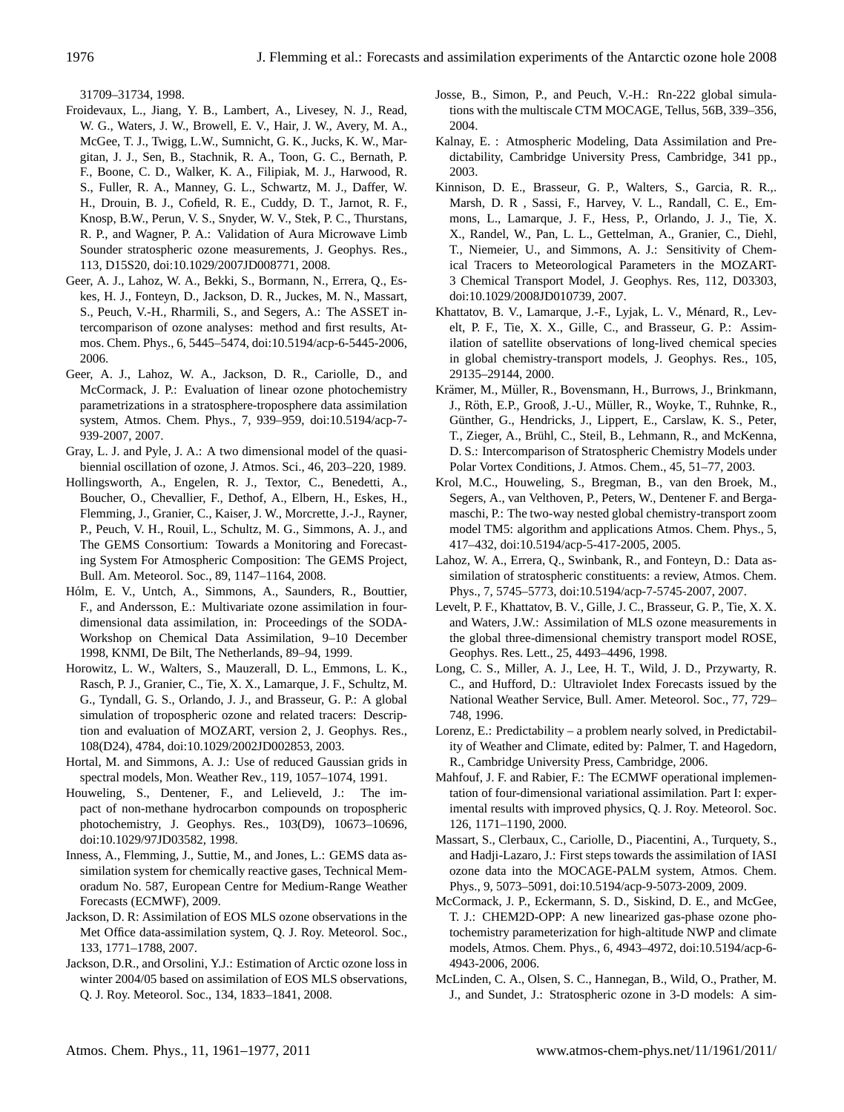31709–31734, 1998.

- Froidevaux, L., Jiang, Y. B., Lambert, A., Livesey, N. J., Read, W. G., Waters, J. W., Browell, E. V., Hair, J. W., Avery, M. A., McGee, T. J., Twigg, L.W., Sumnicht, G. K., Jucks, K. W., Margitan, J. J., Sen, B., Stachnik, R. A., Toon, G. C., Bernath, P. F., Boone, C. D., Walker, K. A., Filipiak, M. J., Harwood, R. S., Fuller, R. A., Manney, G. L., Schwartz, M. J., Daffer, W. H., Drouin, B. J., Cofield, R. E., Cuddy, D. T., Jarnot, R. F., Knosp, B.W., Perun, V. S., Snyder, W. V., Stek, P. C., Thurstans, R. P., and Wagner, P. A.: Validation of Aura Microwave Limb Sounder stratospheric ozone measurements, J. Geophys. Res., 113, D15S20, [doi:10.1029/2007JD008771,](http://dx.doi.org/10.1029/2007JD008771) 2008.
- Geer, A. J., Lahoz, W. A., Bekki, S., Bormann, N., Errera, Q., Eskes, H. J., Fonteyn, D., Jackson, D. R., Juckes, M. N., Massart, S., Peuch, V.-H., Rharmili, S., and Segers, A.: The ASSET intercomparison of ozone analyses: method and first results, Atmos. Chem. Phys., 6, 5445–5474, [doi:10.5194/acp-6-5445-2006,](http://dx.doi.org/10.5194/acp-6-5445-2006) 2006.
- Geer, A. J., Lahoz, W. A., Jackson, D. R., Cariolle, D., and McCormack, J. P.: Evaluation of linear ozone photochemistry parametrizations in a stratosphere-troposphere data assimilation system, Atmos. Chem. Phys., 7, 939–959, [doi:10.5194/acp-7-](http://dx.doi.org/10.5194/acp-7-939-2007) [939-2007,](http://dx.doi.org/10.5194/acp-7-939-2007) 2007.
- Gray, L. J. and Pyle, J. A.: A two dimensional model of the quasibiennial oscillation of ozone, J. Atmos. Sci., 46, 203–220, 1989.
- Hollingsworth, A., Engelen, R. J., Textor, C., Benedetti, A., Boucher, O., Chevallier, F., Dethof, A., Elbern, H., Eskes, H., Flemming, J., Granier, C., Kaiser, J. W., Morcrette, J.-J., Rayner, P., Peuch, V. H., Rouil, L., Schultz, M. G., Simmons, A. J., and The GEMS Consortium: Towards a Monitoring and Forecasting System For Atmospheric Composition: The GEMS Project, Bull. Am. Meteorol. Soc., 89, 1147–1164, 2008.
- Hólm, E. V., Untch, A., Simmons, A., Saunders, R., Bouttier, F., and Andersson, E.: Multivariate ozone assimilation in fourdimensional data assimilation, in: Proceedings of the SODA-Workshop on Chemical Data Assimilation, 9–10 December 1998, KNMI, De Bilt, The Netherlands, 89–94, 1999.
- Horowitz, L. W., Walters, S., Mauzerall, D. L., Emmons, L. K., Rasch, P. J., Granier, C., Tie, X. X., Lamarque, J. F., Schultz, M. G., Tyndall, G. S., Orlando, J. J., and Brasseur, G. P.: A global simulation of tropospheric ozone and related tracers: Description and evaluation of MOZART, version 2, J. Geophys. Res., 108(D24), 4784, [doi:10.1029/2002JD002853,](http://dx.doi.org/10.1029/2002JD002853) 2003.
- Hortal, M. and Simmons, A. J.: Use of reduced Gaussian grids in spectral models, Mon. Weather Rev., 119, 1057–1074, 1991.
- Houweling, S., Dentener, F., and Lelieveld, J.: The impact of non-methane hydrocarbon compounds on tropospheric photochemistry, J. Geophys. Res., 103(D9), 10673–10696, [doi:10.1029/97JD03582,](http://dx.doi.org/10.1029/97JD03582) 1998.
- Inness, A., Flemming, J., Suttie, M., and Jones, L.: GEMS data assimilation system for chemically reactive gases, Technical Memoradum No. 587, European Centre for Medium-Range Weather Forecasts (ECMWF), 2009.
- Jackson, D. R: Assimilation of EOS MLS ozone observations in the Met Office data-assimilation system, Q. J. Roy. Meteorol. Soc., 133, 1771–1788, 2007.
- Jackson, D.R., and Orsolini, Y.J.: Estimation of Arctic ozone loss in winter 2004/05 based on assimilation of EOS MLS observations, Q. J. Roy. Meteorol. Soc., 134, 1833–1841, 2008.
- Josse, B., Simon, P., and Peuch, V.-H.: Rn-222 global simulations with the multiscale CTM MOCAGE, Tellus, 56B, 339–356, 2004.
- Kalnay, E. : Atmospheric Modeling, Data Assimilation and Predictability, Cambridge University Press, Cambridge, 341 pp., 2003.
- Kinnison, D. E., Brasseur, G. P., Walters, S., Garcia, R. R.,. Marsh, D. R , Sassi, F., Harvey, V. L., Randall, C. E., Emmons, L., Lamarque, J. F., Hess, P., Orlando, J. J., Tie, X. X., Randel, W., Pan, L. L., Gettelman, A., Granier, C., Diehl, T., Niemeier, U., and Simmons, A. J.: Sensitivity of Chemical Tracers to Meteorological Parameters in the MOZART-3 Chemical Transport Model, J. Geophys. Res, 112, D03303, [doi:10.1029/2008JD010739,](http://dx.doi.org/10.1029/2008JD010739) 2007.
- Khattatov, B. V., Lamarque, J.-F., Lyjak, L. V., Ménard, R., Levelt, P. F., Tie, X. X., Gille, C., and Brasseur, G. P.: Assimilation of satellite observations of long-lived chemical species in global chemistry-transport models, J. Geophys. Res., 105, 29135–29144, 2000.
- Krämer, M., Müller, R., Bovensmann, H., Burrows, J., Brinkmann, J., Röth, E.P., Grooß, J.-U., Müller, R., Woyke, T., Ruhnke, R., Günther, G., Hendricks, J., Lippert, E., Carslaw, K. S., Peter, T., Zieger, A., Brühl, C., Steil, B., Lehmann, R., and McKenna, D. S.: Intercomparison of Stratospheric Chemistry Models under Polar Vortex Conditions, J. Atmos. Chem., 45, 51–77, 2003.
- Krol, M.C., Houweling, S., Bregman, B., van den Broek, M., Segers, A., van Velthoven, P., Peters, W., Dentener F. and Bergamaschi, P.: The two-way nested global chemistry-transport zoom model TM5: algorithm and applications Atmos. Chem. Phys., 5, 417–432, [doi:10.5194/acp-5-417-2005,](http://dx.doi.org/10.5194/acp-5-417-2005) 2005.
- Lahoz, W. A., Errera, Q., Swinbank, R., and Fonteyn, D.: Data assimilation of stratospheric constituents: a review, Atmos. Chem. Phys., 7, 5745–5773, [doi:10.5194/acp-7-5745-2007,](http://dx.doi.org/10.5194/acp-7-5745-2007) 2007.
- Levelt, P. F., Khattatov, B. V., Gille, J. C., Brasseur, G. P., Tie, X. X. and Waters, J.W.: Assimilation of MLS ozone measurements in the global three-dimensional chemistry transport model ROSE, Geophys. Res. Lett., 25, 4493–4496, 1998.
- Long, C. S., Miller, A. J., Lee, H. T., Wild, J. D., Przywarty, R. C., and Hufford, D.: Ultraviolet Index Forecasts issued by the National Weather Service, Bull. Amer. Meteorol. Soc., 77, 729– 748, 1996.
- Lorenz, E.: Predictability a problem nearly solved, in Predictability of Weather and Climate, edited by: Palmer, T. and Hagedorn, R., Cambridge University Press, Cambridge, 2006.
- Mahfouf, J. F. and Rabier, F.: The ECMWF operational implementation of four-dimensional variational assimilation. Part I: experimental results with improved physics, Q. J. Roy. Meteorol. Soc. 126, 1171–1190, 2000.
- Massart, S., Clerbaux, C., Cariolle, D., Piacentini, A., Turquety, S., and Hadji-Lazaro, J.: First steps towards the assimilation of IASI ozone data into the MOCAGE-PALM system, Atmos. Chem. Phys., 9, 5073–5091, [doi:10.5194/acp-9-5073-2009,](http://dx.doi.org/10.5194/acp-9-5073-2009) 2009.
- McCormack, J. P., Eckermann, S. D., Siskind, D. E., and McGee, T. J.: CHEM2D-OPP: A new linearized gas-phase ozone photochemistry parameterization for high-altitude NWP and climate models, Atmos. Chem. Phys., 6, 4943–4972, [doi:10.5194/acp-6-](http://dx.doi.org/10.5194/acp-6-4943-2006) [4943-2006,](http://dx.doi.org/10.5194/acp-6-4943-2006) 2006.
- McLinden, C. A., Olsen, S. C., Hannegan, B., Wild, O., Prather, M. J., and Sundet, J.: Stratospheric ozone in 3-D models: A sim-